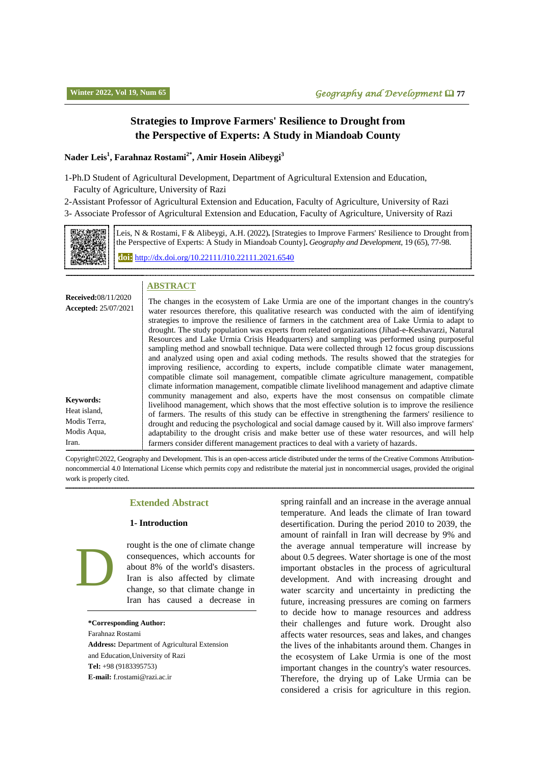## **Strategies to Improve Farmers' Resilience to Drought from the Perspective of Experts: A Study in Miandoab County**

#### **Nader Leis<sup>1</sup> , Farahnaz Rostami2\* , Amir Hosein Alibeygi<sup>3</sup>**

1-Ph.D Student of Agricultural Development, Department of Agricultural Extension and Education, Faculty of Agriculture, University of Razi

2-Assistant Professor of Agricultural Extension and Education, Faculty of Agriculture, University of Razi

3- Associate Professor of Agricultural Extension and Education, Faculty of Agriculture, University of Razi



Leis, N & Rostami, F & Alibeygi, A.H. (2022)**.** [Strategies to Improve Farmers' Resilience to Drought from the Perspective of Experts: A Study in Miandoab County]**.** *Geography and Development,* 19 (65), 77-98. **doi:** http://dx.doi.or[g/10.22111/J10.22111.2021.6540](https://dx.doi.org/10.22111/j10.22111.2021.6540)

#### **ABSTRACT**

| <b>Accepted: 25/07/2021</b><br><b>Keywords:</b><br>Heat island,<br>Modis Terra,<br>Modis Aqua,<br>Iran. | strategies to improve the resilience of farmers in the catchment area of Lake Urmia to adapt to<br>drought. The study population was experts from related organizations (Jihad-e-Keshavarzi, Natural<br>Resources and Lake Urmia Crisis Headquarters) and sampling was performed using purposeful<br>sampling method and snowball technique. Data were collected through 12 focus group discussions<br>and analyzed using open and axial coding methods. The results showed that the strategies for<br>improving resilience, according to experts, include compatible climate water management,<br>compatible climate soil management, compatible climate agriculture management, compatible<br>climate information management, compatible climate livelihood management and adaptive climate<br>community management and also, experts have the most consensus on compatible climate<br>livelihood management, which shows that the most effective solution is to improve the resilience<br>of farmers. The results of this study can be effective in strengthening the farmers' resilience to<br>drought and reducing the psychological and social damage caused by it. Will also improve farmers'<br>adaptability to the drought crisis and make better use of these water resources, and will help<br>farmers consider different management practices to deal with a variety of hazards. |
|---------------------------------------------------------------------------------------------------------|----------------------------------------------------------------------------------------------------------------------------------------------------------------------------------------------------------------------------------------------------------------------------------------------------------------------------------------------------------------------------------------------------------------------------------------------------------------------------------------------------------------------------------------------------------------------------------------------------------------------------------------------------------------------------------------------------------------------------------------------------------------------------------------------------------------------------------------------------------------------------------------------------------------------------------------------------------------------------------------------------------------------------------------------------------------------------------------------------------------------------------------------------------------------------------------------------------------------------------------------------------------------------------------------------------------------------------------------------------------------------------------------|
|---------------------------------------------------------------------------------------------------------|----------------------------------------------------------------------------------------------------------------------------------------------------------------------------------------------------------------------------------------------------------------------------------------------------------------------------------------------------------------------------------------------------------------------------------------------------------------------------------------------------------------------------------------------------------------------------------------------------------------------------------------------------------------------------------------------------------------------------------------------------------------------------------------------------------------------------------------------------------------------------------------------------------------------------------------------------------------------------------------------------------------------------------------------------------------------------------------------------------------------------------------------------------------------------------------------------------------------------------------------------------------------------------------------------------------------------------------------------------------------------------------------|

Copyright©2022, Geography and Development. This is an open-access article distributed under the terms of the Creative Commons Attributionnoncommercial 4.0 International License which permits copy and redistribute the material just in noncommercial usages, provided the original work is properly cited.

#### **Extended Abstract**

#### **1- Introduction**

rought is the one of climate change consequences, which accounts for about 8% of the world's disasters. Iran is also affected by climate change, so that climate change in Iran has caused a decrease in

**\*Corresponding Author:**

D

Farahnaz Rostami **Address:** Department of Agricultural Extension and Education,University of Razi **Tel:** +98 (9183395753) **E-mail:** [f.rostami@razi.ac.ir](mailto:f.rostami@razi.ac.ir)

spring rainfall and an increase in the average annual temperature. And leads the climate of Iran toward desertification. During the period 2010 to 2039, the amount of rainfall in Iran will decrease by 9% and the average annual temperature will increase by about 0.5 degrees. Water shortage is one of the most important obstacles in the process of agricultural development. And with increasing drought and water scarcity and uncertainty in predicting the future, increasing pressures are coming on farmers to decide how to manage resources and address their challenges and future work. Drought also affects water resources, seas and lakes, and changes the lives of the inhabitants around them. Changes in the ecosystem of Lake Urmia is one of the most important changes in the country's water resources. Therefore, the drying up of Lake Urmia can be considered a crisis for agriculture in this region.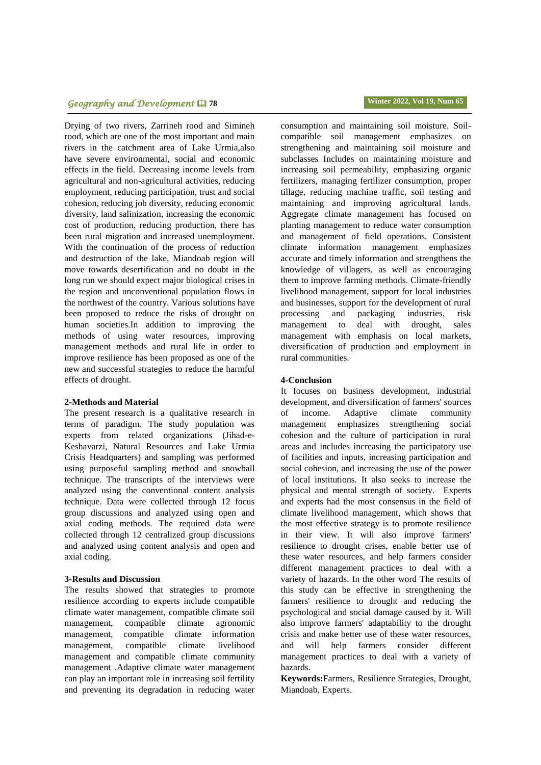# **Geography and Development <b>Q** 78 **Winter 2022, Vol** 19, Num 65

Drying of two rivers, Zarrineh rood and Simineh rood, which are one of the most important and main rivers in the catchment area of Lake Urmia,also have severe environmental, social and economic effects in the field. Decreasing income levels from agricultural and non-agricultural activities, reducing employment, reducing participation, trust and social cohesion, reducing job diversity, reducing economic diversity, land salinization, increasing the economic cost of production, reducing production, there has been rural migration and increased unemployment. With the continuation of the process of reduction and destruction of the lake, Miandoab region will move towards desertification and no doubt in the long run we should expect major biological crises in the region and unconventional population flows in the northwest of the country. Various solutions have been proposed to reduce the risks of drought on human societies.In addition to improving the methods of using water resources, improving management methods and rural life in order to improve resilience has been proposed as one of the new and successful strategies to reduce the harmful effects of drought.

#### **2-Methods and Material**

The present research is a qualitative research in terms of paradigm. The study population was experts from related organizations (Jihad-e-Keshavarzi, Natural Resources and Lake Urmia Crisis Headquarters) and sampling was performed using purposeful sampling method and snowball technique. The transcripts of the interviews were analyzed using the conventional content analysis technique. Data were collected through 12 focus group discussions and analyzed using open and axial coding methods. The required data were collected through 12 centralized group discussions and analyzed using content analysis and open and axial coding.

#### **3-Results and Discussion**

The results showed that strategies to promote resilience according to experts include compatible climate water management, compatible climate soil management, compatible climate agronomic management, compatible climate information management, compatible climate livelihood management and compatible climate community management .Adaptive climate water management can play an important role in increasing soil fertility and preventing its degradation in reducing water consumption and maintaining soil moisture. Soilcompatible soil management emphasizes on strengthening and maintaining soil moisture and subclasses Includes on maintaining moisture and increasing soil permeability, emphasizing organic fertilizers, managing fertilizer consumption, proper tillage, reducing machine traffic, soil testing and maintaining and improving agricultural lands. Aggregate climate management has focused on planting management to reduce water consumption and management of field operations. Consistent climate information management emphasizes accurate and timely information and strengthens the knowledge of villagers, as well as encouraging them to improve farming methods. Climate-friendly livelihood management, support for local industries and businesses, support for the development of rural processing and packaging industries, risk management to deal with drought, sales management with emphasis on local markets, diversification of production and employment in rural communities.

#### **4-Conclusion**

It focuses on business development, industrial development, and diversification of farmers' sources of income. Adaptive climate community management emphasizes strengthening social cohesion and the culture of participation in rural areas and includes increasing the participatory use of facilities and inputs, increasing participation and social cohesion, and increasing the use of the power of local institutions. It also seeks to increase the physical and mental strength of society. Experts and experts had the most consensus in the field of climate livelihood management, which shows that the most effective strategy is to promote resilience in their view. It will also improve farmers' resilience to drought crises, enable better use of these water resources, and help farmers consider different management practices to deal with a variety of hazards. In the other word The results of this study can be effective in strengthening the farmers' resilience to drought and reducing the psychological and social damage caused by it. Will also improve farmers' adaptability to the drought crisis and make better use of these water resources, and will help farmers consider different management practices to deal with a variety of hazards.

**Keywords:**Farmers, Resilience Strategies, Drought, Miandoab, Experts.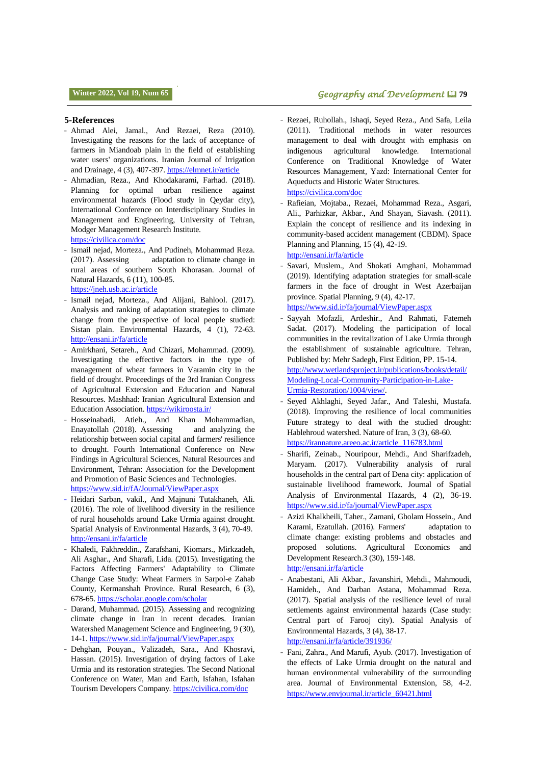#### **5-References**

- Ahmad Alei, Jamal., And Rezaei, Reza (2010). Investigating the reasons for the lack of acceptance of farmers in Miandoab plain in the field of establishing water users' organizations. Iranian Journal of Irrigation and Drainage, 4 (3), 407-397. <https://elmnet.ir/article>
- Ahmadian, Reza., And Khodakarami, Farhad. (2018). Planning for optimal urban resilience against environmental hazards (Flood study in Qeydar city), International Conference on Interdisciplinary Studies in Management and Engineering, University of Tehran, Modger Management Research Institute. <https://civilica.com/doc>
- Ismail nejad, Morteza., And Pudineh, Mohammad Reza.<br>(2017). Assessing adaptation to climate change in adaptation to climate change in rural areas of southern South Khorasan. Journal of Natural Hazards, 6 (11), 100-85. <https://jneh.usb.ac.ir/article>
- Ismail nejad, Morteza., And Alijani, Bahlool. (2017). Analysis and ranking of adaptation strategies to climate change from the perspective of local people studied: Sistan plain. Environmental Hazards, 4 (1), 72-63. <http://ensani.ir/fa/article>
- Amirkhani, Setareh., And Chizari, Mohammad. (2009). Investigating the effective factors in the type of management of wheat farmers in Varamin city in the field of drought. Proceedings of the 3rd Iranian Congress of Agricultural Extension and Education and Natural Resources. Mashhad: Iranian Agricultural Extension and Education Association. <https://wikiroosta.ir/>
- Hosseinabadi, Atieh., And Khan Mohammadian, Enayatollah (2018). Assessing and analyzing the relationship between social capital and farmers' resilience to drought. Fourth International Conference on New Findings in Agricultural Sciences, Natural Resources and Environment, Tehran: Association for the Development and Promotion of Basic Sciences and Technologies. <https://www.sid.ir/fA/Journal/ViewPaper.aspx>
- Heidari Sarban, vakil., And Majnuni Tutakhaneh, Ali. (2016). The role of livelihood diversity in the resilience of rural households around Lake Urmia against drought. Spatial Analysis of Environmental Hazards, 3 (4), 70-49. <http://ensani.ir/fa/article>
- Khaledi, Fakhreddin., Zarafshani, Kiomars., Mirkzadeh, Ali Asghar., And Sharafi, Lida. (2015). Investigating the Factors Affecting Farmers' Adaptability to Climate Change Case Study: Wheat Farmers in Sarpol-e Zahab County, Kermanshah Province. Rural Research, 6 (3), 678-65. <https://scholar.google.com/scholar>
- Darand, Muhammad. (2015). Assessing and recognizing climate change in Iran in recent decades. Iranian Watershed Management Science and Engineering, 9 (30), 14-1. <https://www.sid.ir/fa/journal/ViewPaper.aspx>
- Dehghan, Pouyan., Valizadeh, Sara., And Khosravi, Hassan. (2015). Investigation of drying factors of Lake Urmia and its restoration strategies. The Second National Conference on Water, Man and Earth, Isfahan, Isfahan Tourism Developers Company. <https://civilica.com/doc>
- Rezaei, Ruhollah., Ishaqi, Seyed Reza., And Safa, Leila (2011). Traditional methods in water resources management to deal with drought with emphasis on indigenous agricultural knowledge. International Conference on Traditional Knowledge of Water Resources Management, Yazd: International Center for Aqueducts and Historic Water Structures. <https://civilica.com/doc>
- Rafieian, Mojtaba., Rezaei, Mohammad Reza., Asgari, Ali., Parhizkar, Akbar., And Shayan, Siavash. (2011). Explain the concept of resilience and its indexing in community-based accident management (CBDM). Space Planning and Planning, 15 (4), 42-19. <http://ensani.ir/fa/article>
- Savari, Muslem., And Shokati Amghani, Mohammad (2019). Identifying adaptation strategies for small-scale farmers in the face of drought in West Azerbaijan province. Spatial Planning, 9 (4), 42-17. <https://www.sid.ir/fa/journal/ViewPaper.aspx>
- Sayyah Mofazli, Ardeshir., And Rahmati, Fatemeh Sadat. (2017). Modeling the participation of local communities in the revitalization of Lake Urmia through the establishment of sustainable agriculture. Tehran, Published by: Mehr Sadegh, First Edition, PP. 15-14. [http://www.wetlandsproject.ir/publications/books/detail/](http://www.wetlandsproject.ir/publications/books/detail/Modeling-Local-Community-Participation-in-Lake-Urmia-Restoration/1004/view/) [Modeling-Local-Community-Participation-in-Lake-](http://www.wetlandsproject.ir/publications/books/detail/Modeling-Local-Community-Participation-in-Lake-Urmia-Restoration/1004/view/)[Urmia-Restoration/1004/view/.](http://www.wetlandsproject.ir/publications/books/detail/Modeling-Local-Community-Participation-in-Lake-Urmia-Restoration/1004/view/)
- Seyed Akhlaghi, Seyed Jafar., And Taleshi, Mustafa. (2018). Improving the resilience of local communities Future strategy to deal with the studied drought: Hablehroud watershed. Nature of Iran, 3 (3), 68-60. [https://irannature.areeo.ac.ir/article\\_116783.html](https://irannature.areeo.ac.ir/article_116783.html)
- Sharifi, Zeinab., Nouripour, Mehdi., And Sharifzadeh, Maryam. (2017). Vulnerability analysis of rural households in the central part of Dena city: application of sustainable livelihood framework. Journal of Spatial Analysis of Environmental Hazards, 4 (2), 36-19. <https://www.sid.ir/fa/journal/ViewPaper.aspx>
- Azizi Khalkheili, Taher., Zamani, Gholam Hossein., And Karami, Ezatullah. (2016). Farmers' adaptation to climate change: existing problems and obstacles and proposed solutions. Agricultural Economics and Development Research.3 (30), 159-148. <http://ensani.ir/fa/article>
- Anabestani, Ali Akbar., Javanshiri, Mehdi., Mahmoudi, Hamideh., And Darban Astana, Mohammad Reza. (2017). Spatial analysis of the resilience level of rural settlements against environmental hazards (Case study: Central part of Farooj city). Spatial Analysis of Environmental Hazards, 3 (4), 38-17. <http://ensani.ir/fa/article/391936/>
- Fani, Zahra., And Marufi, Ayub. (2017). Investigation of the effects of Lake Urmia drought on the natural and human environmental vulnerability of the surrounding area. Journal of Environmental Extension, 58, 4-2. [https://www.envjournal.ir/article\\_60421.html](https://www.envjournal.ir/article_60421.html)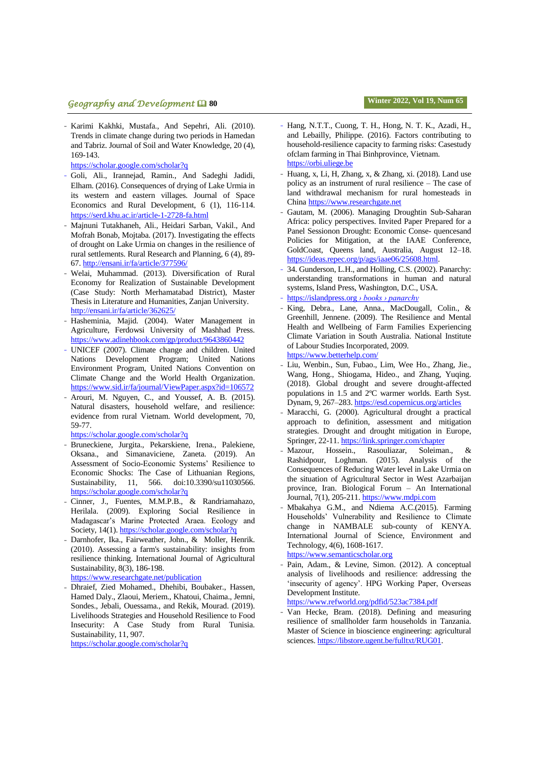# **geography and Development <b>** $\Box$  80 **Winter 2022, Vol** 19, Num 65

- Karimi Kakhki, Mustafa., And Sepehri, Ali. (2010). Trends in climate change during two periods in Hamedan and Tabriz. Journal of Soil and Water Knowledge, 20 (4), 169-143.

<https://scholar.google.com/scholar?q>

- Goli, Ali., Irannejad, Ramin., And Sadeghi Jadidi, Elham. (2016). Consequences of drying of Lake Urmia in its western and eastern villages. Journal of Space Economics and Rural Development, 6 (1), 116-114. <https://serd.khu.ac.ir/article-1-2728-fa.html>
- Majnuni Tutakhaneh, Ali., Heidari Sarban, Vakil., And Mofrah Bonab, Mojtaba. (2017). Investigating the effects of drought on Lake Urmia on changes in the resilience of rural settlements. Rural Research and Planning, 6 (4), 89- 67. <http://ensani.ir/fa/article/377596/>
- Welai, Muhammad. (2013). Diversification of Rural Economy for Realization of Sustainable Development (Case Study: North Merhamatabad District), Master Thesis in Literature and Humanities, Zanjan University. <http://ensani.ir/fa/article/362625/>
- Hasheminia, Majid. (2004). Water Management in Agriculture, Ferdowsi University of Mashhad Press. <https://www.adinehbook.com/gp/product/9643860442>
- UNICEF (2007). Climate change and children. United Nations Development Program; United Nations Environment Program, United Nations Convention on Climate Change and the World Health Organization. <https://www.sid.ir/fa/journal/ViewPaper.aspx?id=106572>
- Arouri, M. Nguyen, C., and Youssef, A. B. (2015). Natural disasters, household welfare, and resilience: evidence from rural Vietnam. World development, 70, 59-77.

<https://scholar.google.com/scholar?q>

- Bruneckiene, Jurgita., Pekarskiene, Irena., Palekiene, Oksana., and Simanaviciene, Zaneta. (2019). An Assessment of Socio-Economic Systems' Resilience to Economic Shocks: The Case of Lithuanian Regions, Sustainability, 11, 566. doi:10.3390/su11030566. <https://scholar.google.com/scholar?q>
- Cinner, J., Fuentes, M.M.P.B., & Randriamahazo, Herilala. (2009). Exploring Social Resilience in Madagascar's Marine Protected Araea. Ecology and Society, 14(1[\).](https://scholar.google.com/scholar?q) <https://scholar.google.com/scholar?q>
- [Darnhofer,](https://www.tandfonline.com/author/Darnhofer%2C+Ika) Ika., Fairweather, [John., &](https://www.tandfonline.com/author/Fairweather%2C+John) [Moller,](https://www.tandfonline.com/author/Moller%2C+Henrik) Henrik. (2010). Assessing a farm's sustainability: insights from resilience thinking. International Journal of Agricultural Sustainability, 8(3), 186-198.

<https://www.researchgate.net/publication>

- Dhraief, Zied Mohamed., Dhehibi, Boubaker., Hassen, Hamed Daly., Zlaoui, Meriem., Khatoui, Chaima., Jemni, Sondes., Jebali, Ouessama., and Rekik, Mourad. (2019). Livelihoods Strategies and Household Resilience to Food Insecurity: A Case Study from Rural Tunisia. Sustainability, 11, 907.

<https://scholar.google.com/scholar?q>

- Hang, N.T.T., Cuong, T. H., Hong, N. T. K., Azadi, H., and Lebailly, Philippe. (2016). Factors contributing to household-resilience capacity to farming risks: Casestudy ofclam farming in Thai Binhprovince, Vietnam. [https://orbi.uliege.be](https://orbi.uliege.be/)
- Huang, x, Li, H, Zhang, x, & Zhang, xi. (2018). Land use policy as an instrument of rural resilience – The case of land withdrawal mechanism for rural homesteads in China [https://www.researchgate.net](https://www.researchgate.net/)
- Gautam, M. (2006). Managing Droughtin Sub-Saharan Africa: policy perspectives. Invited Paper Prepared for a Panel Sessionon Drought: Economic Conse- quencesand Policies for Mitigation, at the IAAE Conference, GoldCoast, Queens land, Australia, August 12–18. [https://ideas.repec.org/p/ags/iaae06/25608.html.](https://ideas.repec.org/p/ags/iaae06/25608.html)
- 34. Gunderson, L.H., and Holling, C.S. (2002). Panarchy: understanding transformations in human and natural systems, Island Press, Washington, D.C., USA.
- https://islandpress.org *› books › panarchy*
- King, Debra., Lane, Anna., MacDougall, Colin., & Greenhill, Jennene. (2009). The Resilience and Mental Health and Wellbeing of Farm Families Experiencing Climate Variation in South Australia. National Institute of Labour Studies Incorporated, 2009.

[https://www.betterhelp.com/](https://www.googleadservices.com/pagead/aclk?sa=L&ai=DChcSEwiI2_6XsfrzAhWNAIsKHbJnAPUYABACGgJlZg&ohost=www.google.com&cid=CAESQOD2P1pAYgpHrjdnrGoiMHrYiRPKZ5yf-Gylns3FwQNB-uomW1xhOMXTLZCiw3-K6R4jSswpKLFpn_JEKPpzJYU&sig=AOD64_27EqztHsx_EEHzCtgSdEACgOHzBQ&q&adurl&ved=2ahUKEwjZ-O-XsfrzAhWkTeUKHY5mBvcQ0Qx6BAgDEAE)

- Liu, Wenbin., Sun, Fubao., Lim, Wee Ho., Zhang, Jie., Wang, Hong., Shiogama, Hideo., and Zhang, Yuqing. (2018). Global drought and severe drought-affected populations in 1.5 and 2ºC warmer worlds. Earth Syst. Dynam, 9, 267–283. <https://esd.copernicus.org/articles>
- Maracchi, G. (2000). Agricultural drought a practical approach to definition, assessment and mitigation strategies. Drought and drought mitigation in Europe, Springer, 22-11. <https://link.springer.com/chapter>
- Mazour, Hossein., Rasouliazar, Soleiman., & Rashidpour, Loghman. (2015). Analysis of the Consequences of Reducing Water level in Lake Urmia on the situation of Agricultural Sector in West Azarbaijan province, Iran. Biological Forum – An International Journal, 7(1), 205-211. [https://www.mdpi.com](https://www.mdpi.com/)
- Mbakahya G.M., and Ndiema A.C.(2015). Farming Households' Vulnerability and Resilience to Climate change in NAMBALE sub-county of KENYA. International Journal of Science, Environment and Technology, 4(6), 1608-1617. [https://www.semanticscholar.org](https://www.semanticscholar.org/)
- Pain, Adam., & Levine, Simon. (2012). A conceptual analysis of livelihoods and resilience: addressing the 'insecurity of agency'. HPG Working Paper, Overseas Development Institute.

<https://www.refworld.org/pdfid/523ac7384.pdf>

Van Hecke, Bram. (2018). Defining and measuring resilience of smallholder farm households in Tanzania. Master of Science in bioscience engineering: agricultural sciences. [https://libstore.ugent.be/fulltxt/RUG01.](https://libstore.ugent.be/fulltxt/RUG01)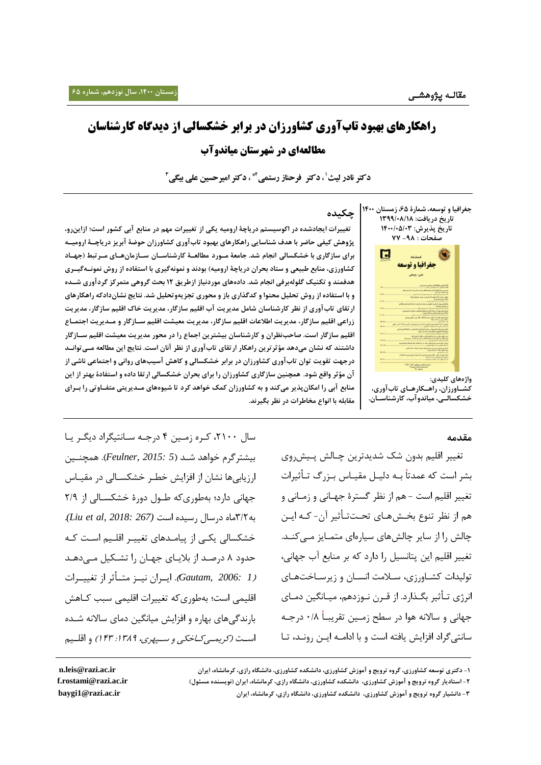# **راهکارهای بهبود تابآوری کشاورزان در برابر خشکسالی از دیدگاه کارشناسان مطالعهای در شهرستان میاندوآب**

**دکتر نادر لیث ٰ ، دکتر ِ فرحناز رستمی آ\* ، دکتر امیرحسین علی بیگی ٔ** 

 **تغییرات ایجادشده در اکوسیستم دریاچۀ ارومیه یکی از تغییرات مهم در منابع آبی کشور است؛ ازاینرو، پژوهش کیفی حاضر با هدف شناسایی راهکارهای بهبود تابآوری کشاورزان حوضۀ آبریز دریاچـ ۀ ارومیـه برای سازگاری با خشکسالی انجام شد. جامعۀ مـورد ماالعـ ۀ کارشناسـان سـازمان هـای مـرتب )جهـاد کشاورزی، منابع طبیعی و ستاد بحران دریاچۀ ارومیه( بودند و نمونهگیری با استفاده از روش نمونـه گیـری هدفمند و تکنیک گلولهبرفی انجام شد. دادههای موردنیاز ازطریق 01 بحث گروهی متمرکز گردآوری شـده و با استفاده از روش تحلیل محتوا و کدگذاری باز و محوری تجزیهوتحلیل شد. نتایج نشاندادکه راهکارهای ارتقای تابآوری از نظر کارشناسان شامل مدیریت آب اقلیم سازگار، مدیریت خاک اقلیم سازگار، مدیریت زراعی اقلیم سازگار، مدیریت اطالعات اقلیم سازگار، مدیریت معیشت اقلیم سـازگار و مـدیریت اجتمـا**  اقلیم سازگار است. صاحبiظران و کارشناسان بیشترین اجماع را در محور مدیریت معیشت اقلیم ســازگار **داشتند که نشان میدهد مؤثرترین راهکار ارتقای تابآوری از نظر آنان است. نتایج این ماالعه مـی توانـد درجهت تقویت توان تابآوری کشاورزان در برابر خشکسالی و کاهش آسیبهای روانی و اجتماعی ناشی از آن مؤثر واقع شود. همچنین سازگاری کشاورزان را برای بحران خشکسالی ارتقا داده و استفادۀ بهتر از این منابع آبی را امکانپذیر میکند و به کشاورزان کمک خواهد کرد تا شیوههای مـدیریتی متفـاوتی را بـرای** 

**چکیده**



**واژههای کلیدی: کشـاورزان، راهـکارهـای تابآوری، خشکسالـی، میاندوآب، کارشناسـان.**

#### **مقدمه**

تغییر اقلیم بدون شک شدیدترین چـالش پـیش٫وی بشر است که عمدتاً بــه دلیــل مقیــاس بــزرگ تــأثیرات تغییر اقلیم است - هم از نظر گسترۀ جهالن ی و زمالن ی و هم از نظر تنوع بخـش&ـای تحـتتـأثیر آن- کـه ایــن چالش را از سایر چالش های سیارهای متمـایز مـی کنــد. تغییر اقلیم این تلنسیل را لارل که بر منلبع آب جهلنی، تولیدات کشـاورزی، سـلامت انسـان و زیرسـاختهـای انرژی تــأثير بگــذارد. از قــرن نــوزدهم، ميــانگين دمــای جهانی و سالانه هوا در سطح زمـین تقریبـاً ۰/۸ درجـه سانتیگراد افزایش یافته است و با ادامــه ایــن رونــد، تــا

سال ۲۱۰۰، کـره زمـین ۴ درجـه سـانتیگراد دیگـر یـا بیشترگرم تواهد شاد )*5 2015: ,Feulner*). همچناین ارزیابی ها نشان از افزایش خطـر خشکســالی در مقیــاس جهانی دارد؛ بهطوری که طـول دورهٔ خشکسـالی از ٢/٩ به3/0مله لرسلل رسیده است *(267 2018: ,al et Liu(*. خشکسالی یکـی از پیامـدهای تغییـر اقلـیم اسـت کـه

**مقابله با انوا مخاطرات در نظر بگیرند.**

حدود ۸ درصـد از بلایــای جهــان را تشــکیل مــی۵هــد *(Gautam, 2006: 1).* ایـران نیــز متــأثر از تغییــرات اقلیمی است؛ بهطوریکه تغییرات اقلیمی سبب کاله بارندگی های بهاره و افزایش میانگین دمای سالانه شـده است *(کریمے کےخکی و سیہوی، ۱۳۸۹: ۱۴۳)* و اقلیم

**<sup>-0</sup> دکتری توسعه کشاورزی، گروه ترویج و آموزش کشاورزی، دانشکده کشاورزی، دانشگاه رازی، کرمانشاه، ایران ir.ac.razi@leis.n**

**<sup>-1</sup> استادیار گروه ترویج و آموزش کشاورزی، دانشکده کشاورزی، دانشگاه رازی، کرمانشاه، ایران )نویسنده مسئول( ir.ac.razi@rostami.f**

**<sup>-9</sup> دانشیار گروه ترویج و آموزش کشاورزی، دانشکده کشاورزی، دانشگاه رازی، کرمانشاه، ایران ir.ac.razi@1baygi**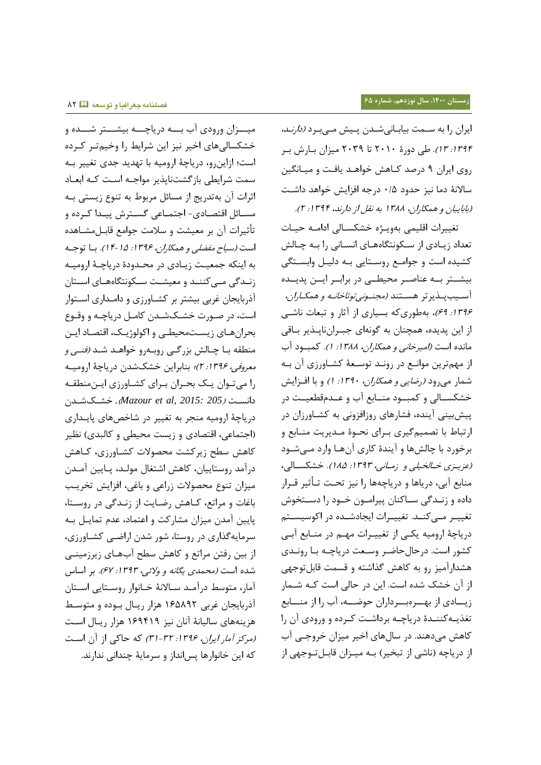ایران را به سـمت بیابـانیشـدن پـیش مـیبـرد *(دارنـد،* :8374 83(. طی لورۀ 0888 تل 0837 میران بالر بار روی ایران ۹ درصد کـاهش خواهـد یافـت و میـانگین سالانهٔ دما نیز حدود ۰/۵ درجه افزایش خواهد داشت )بلبلییلن و همسلران، 8377 به نقل از لارند، :8374 0(.

تغییرات اقلیمی بهویـژه خشکسـالی ادامـه حیـات تعداد زیادی از سکونتگاههای انسانی را بـه چـالش کشیده است و جواماع روساتلیی باه لشیال وابساتگی بیشـتر بـه عناصـر محیطـی در برابـر ایــن پدیــده آســيب يـــذير تر هســـتند *(مجنــوني توتاخانــه و همكــاران،* ۱۳۹۶: ۶۹)، بهطوریکه بسیاری از آثار و تبعات ناشبی از این پدیده، همچنان به گونهای جبـرانناپـذیر بـاقی مانده است *(امیرخانی و همکاران، ۱۳۸۸: ۱).* کمبود آب از مهمترین موانـع در رونـد توسـعۀ کشـاورزی آن بـه شمار میرود *(رضایی و همکاران، ۱۳۹۰: ۱)* و با افزایش خشکســالی و کمبــود منــابع آب و عــدمقطعیــت در ی بینی آینده، فشلرهلی روزافرونی به کشالورزان لر ارتباط با تصمیمگیری بـرای نحـوۀ مـدیریت منـابع و برخورد با چالشها و آیندۀ کاری آنهـا وارد مـیشـود (عزینری خـالخیلی و زمـانبی، ۱۳۹۳: ۱۸۵). خشکسـالی، منابع آبی، دریاها و دریاچهها را نیز تحت تـأثیر قـرار داده و زنـدگی سـاکنان پیرامـون خـود را دسـتخوش تغییـر مـی کنـد. تغییـرات ایجادشـده در اکوسیسـتم دریاچۀ ارومیه یکی از تغییـرات مهـم در منـابع آبـی کشور است. درحال حاضر وسعت دریاچـه بـا رونـدی هشدارآمیز رو به کاهش گذاشته و قسمت قابلتوجهی از آن خشک شده است. این در حالی است کـه شـمار زیاادی از بهارهبارداران حوضاه، آب را از منسابع تغذیـهکننـدۀ دریاچـه برداشـت کـرده و ورودی آن را کاهش میدهند. در سالهای اخیر میزان خروجی آب از دریاچه (ناشی از تبخیر) بـه میـزان قابـلتـوجهی از

میسزان ورودی آب بسه دریاچسه بیشستر شسده و خشکسالیهای اخیر نیز این شرایط را وخیمتر کرده است؛ ازاینرو، لریلچۀ ارومیه بل تهدید جدی تغییر باه سمت شرایطی بازگشتنایذیر مواجه است کـه ابعـاد ا رات آن بهتدریج از مسلئل مربوط به تنوع زیستی باه مسـائل اقتصـادی- اجتمـاعی گسـترش پيـدا کـرده و تأثیرات آن بر معیشت و سلامت جوامع قابـل مشـاهده است *(سیاح مفضلی و همکا<sub>د</sub>ان، ۱۳۹۶: ۱۵-۱۴).* با توجه به اینکه جمعیت زیادی در محـدودۀ دریاچـۀ ارومیـه زنـدگی مـیکننـد و معیشـت سـکونتگاههـای اسـتان آذربلیجلن غربی بیشتر بر کشالورزی و لاماداری اساتوار است، در صـورت خشـکشـدن کامـل دریاچـه و وقـوع بحرانهای زیستمحیطی و اکولوژیک، اقتصاد ایـن منطقه بــا چــالش بزرگــی روبــهرو خواهــد شــد *(فنــی و* معر*وفی، ۱۳۹۶: ۲)؛* بنابراین خشکشدن دریاچۀ ارومیـه را می توان یک بحـران بـرای کشـاورزی ایـن منطقـه لانسات )*205 2015: ,al et Mazour*)*.* تشاک شادن لریلچۀ ارومیه منجر به تغییر لر شلتص هلی لیاداری ) اجتملعی، اقتصللی و زیست محیطی و کلشبدی ( نظیر کاهش سطح زیرکشت محصولات کشـاورزی، کـاهش درآمد روستاییان، کاهش اشتغال مولـد، پـایین آمـدن میزان تنوع محصولات زراعی و باغی، افزایش تخریب بلغلت و مراتع، کاله رضالیت از زنادگی لر روساتل، لیین آمدن میران مشلرکت و اعتملل ، عدم تملیال باه سرمایه گذاری در روستا، شور شدن اراضے کشاورزی، از بین رفتن مراتع و کاهش سطح آبهـای زیرزمینـی شده است *(محمدی یگانه و ولائی، ۱۳۹۳: ۶۷).* بر اساس آمار، متوسط درآمد سالانهٔ خانوار روستایی استان آذربایجان غربی ۱۶۵۸۹۲ هزار ریال بوده و متوسط هزینههای سالیانۀ آنان نیز ۱۶۹۴۱۹ هزار ریـال اسـت (مرکز آمار ایران، 1۳۹۶: ۳۲-۳۱) که حاکی از آن است که این تلنوارهل سانداز و سرملیۀ چندانی ندارند.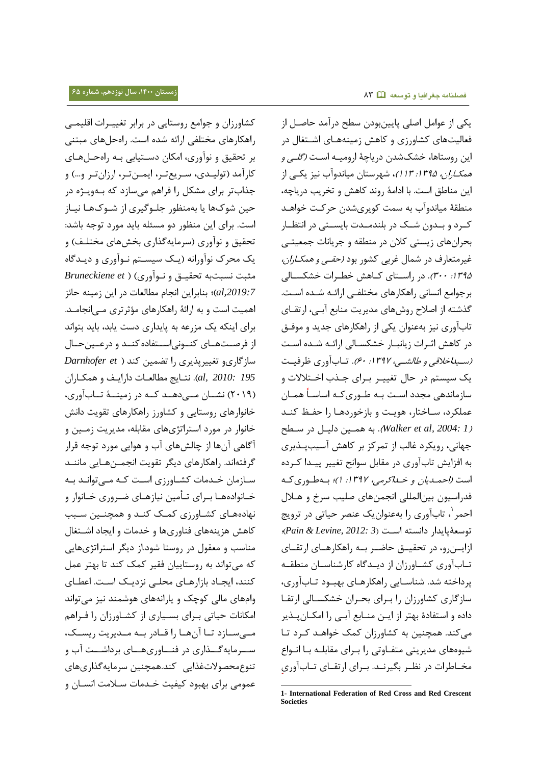کشاورزان و جوامع روستایی در برابر تغییـرات اقلیمـی راهسلرهلی مختلفی ارائه شده است. راهحلهلی مبتنی بر تحقیق و نوآوری، امکان دسـتیابی بـه راهحـلهـای کارآمد (تولیـدی، سـریع تـر، ایمـن تـر، ارزان تـر و...) و جذابتر برای مشکل را فراهم میسازد که بـهویـژه در حین شوکهل یل بهمنظور جلاوگیری از شاوک هال نیالز است. برای این منظور لو مسئله بلید مورل توجه بلشد: تحقیق و نوآوری (سرمایهگذاری بخشهای مختلـف) و یک محرک نوآورانه (یک سیستم نـوآوری و دیـدگاه مثبت نسبتبه تحقیاق و ناوآوری ( ) *et Bruneckiene ,2019:7al*)؛ بنلبراین انجلم مطلشعلت لر این زمینه حلئر اهمیت است و به ارائۀ راهکارهای مؤثر تری مـی|نجامـد. برای اینکه یک مزرعه به پایداری دست یابد، باید بتواند از فرصتهای کنونیاستفاده کند و درعینحال سلزگلریو تغییر ایری را تضمین کند ) *et Darnhofer 195 2010: ,al*). نتالیج مطلشعالت لارایا و همسالران (۲۰۱۹) نشــان مــی۵هــد کــه در زمینــهٔ تــابآوری، خانوارهای روستایی و کشاورز راهکارهای تقویت دانش خانوار در مورد استراتژیهای مقابله، مدیریت زمـین و آگلهی آنهل از چلش هلی آب و هوایی مورل توجه قرار گرفتهاند. راهکارهای دیگر تقویت انجمــنهـایی ماننــد سازمان خـدمات کشـاورزی اسـت کـه مـی توانـد بـه خـانوادههـا بـرای تـأمین نیازهـای ضـروری خـانوار و نهللههالی کشالورزی کماک کناد و همچناین سابب کاهش هزینههای فناوریها و خدمات و ایجاد اشتغال منلسب و معقول لر روستل شول.از لیگر استراتهیهلیی که میتواند به روستلییلن فقیر کمک کند تل بهتر عمل کنند، ایجـاد بازارهـای محلـی نزدیـک اسـت. اعطـای وامهلی ملشی کوچک و یلرانههلی هوشمند نیر میتواند امکانات حیاتی برای بسیاری از کشاورزان را فراهم مبی سازد تا آن ها را قادر به مندیریت ریسک، سـرمایهگــذاری در فنــاوریهــای برداشــت آب و تنوعمحصوالتغاایی کند.همچنین سرملیهگااریهلی عمومی برای بهبود کیفیت خـدمات سـلامت انســان و

یسی از عوامل اصلی لیینبولن سطح لرآمد حلصال از فعالیتهای کشاورزی و کاهش زمینههـای اشـتغال در این روستاها، خشکشدن دریاچۀ ارومیـه اسـت *(گلـی و* هم*کـاران، ۱۳۹۵: ۱۱۳)*، شهرستان میاندوآب نیز یکـی از این منلطق است. بل الامۀ روند کله و تخریب لریلچه، منطقۀ میاندوآب به سمت کویریشدن حرکت خواهـد کـرد و بـدون شـک در بلندمـدت بایسـتی در انتظـار بحرانهای زیستی کلان در منطقه و جریانات جمعیتـی غیرمتعارف در شمال غربی کشور بود *(حقبی و همکاران،* :8375 388(. لر راساتلی کاله تطارات تشسسالشی برجوامع انسانی راهکارهای مختلفے ارائـه شـده اسـت. گذشته از اصلاح روشهای مدیریت منابع آبـی، ارتقــای تابآوری نیز بهعنوان یکی از راهکارهای جدید و موفـق در کاهش اثـرات زیانبـار خشکسـالی ارائـه شـده اسـت (بسید*اخلاقی و طالشي، ١٣٩٧: ۶۰)*. تـاب آوری ظرفیـت یک سیستم در حال تغییـر بـرای جـذب اخـتلالات و سازماندهی مجدد اسـت بـه طـوری *ک*ـه اساسـاً همـان عملکرد، سـاختار، هویـت و بازخوردهـا را حفـظ کنـد )*1 2004: ,al et Walker*). به هماین لشیال لر ساطح جهانی، رویکرد غالب از تمرکز بر کاهش آسیب پــذیری به افزایش تابآوری در مقابل سوانح تغییر پیـدا کـرده است *(احمدیان و خـداکرمی، ۱۳۹۷: ۱)؛* بـهطـوری کـه فدراسیون بین المللی انجمن های صلیب سرخ و هـلال احمر 8 ، تلب آوری را به عنوان یک عنصر حیلتی لر ترویج توسعۀ لیدار لانسته اسات )*3 2012: ,Levine & Pain*)؛ ازایــن٫و، در تحقیــق حاضــر بــه ٫اهکا٫هــای ارتقــای تابآوری کشاورزان از دیدگاه کارشناسان منطقه یرداخته شد. شناسایی راهکارهای بهبود تـاب آوری، سازگاری کشاورزان را برای بحران خشکسالی ارتقا داده و استفادۀ بهتر از ایـن منــابع آبـی را امکــان پــذیر می کند. همچنین به کشاورزان کمک خواهـد کـرد تـا شیوههای مدیریتی متفـاوتی را بـرای مقابلـه بـا انـواع مخـاطرات در نظـر بگیرنـد. بـرای ارتقـای تـابآوری

-

**<sup>1-</sup> International Federation of Red Cross and Red Crescent Societies**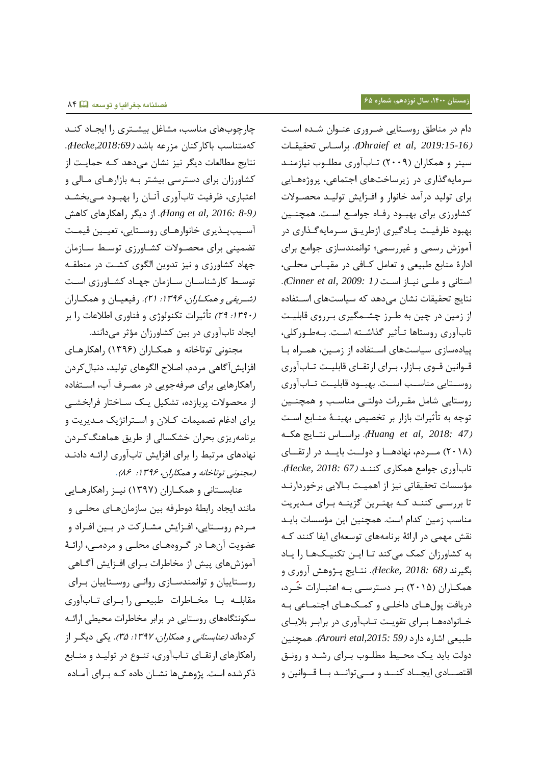چارچوب های مناسب، مشاغل بیشتری را ایجـاد کنـد که متنلسب بلکلرکنلن مررعه بلشد )*,2018:69Hecke*). نتایج مطالعات دیگر نیز نشان میدهد کـه حمایـت از کشلورزان برای لسترسی بیشتر باه بلزارهالی مالشی و اعتباری، ظرفیت تابآوری آنـان را بهبـود مـیبخشـد )*8-9 2016: ,al et Hang*). از لیگر راهسلرهلی کله آسـیبپـذیری خانوارهـای روسـتایی، تعیـین قیمـت تضمینی برای محصولات کشـاورزی توسـط سـازمان جهاد کشاورزی و نیز تدوین الگوی کشت در منطقـه توسط کارشناسان سازمان جهاد کشاورزی است *(شریفی و همکاران، ۱۳۹۶: ۲۱).* رفیعیان و همکاران (۱۳۹۰؛ ۲۹) تأثیرات تکنولوژی و فناوری اطلاعات را بر ایجاد تابآوری در بین کشاورزان مؤثر میدانند.

مجنونی توتلتلنه و همسالران )8371( راهسلرهالی افزایش آگاهی مردم، اصلاح الگوهای تولید، دنبال کردن راهکارهایی برای صرفهجویی در مصـرف آب، اسـتفاده از محصولات پربازده، تشکیل یـک ســاختار فرابخشــی برای ادغام تصمیمات کلان و استراتژیک مـدیریت و برنلمهریری بحران تشسسلشی از طریق هملهنگکارلن نهادهای مرتبط را برای افزایش تابآوری ارائـه دادنـد (مجنونی توتاخانه و همکاران، ۱۳۹۶: ۸۶).

عنابستانی و همکـاران (۱۳۹۷) نیـز راهکارهـایی ملنند ایجلل رابطۀ لوطرفه بین سلزملنهالی محلای و مـردم روسـتایی، افـزایش مشـارکت در بـین افـراد و عضویت آنهـا در گـروههـای محلـی و مردمـی، ارائـهٔ آموزشهای پیش از مخاطرات بـرای افـزایش آگــاهی روستاییان و توانمندسـازی روانـی روسـتاییان بـرای مقابلـه بـا مخـاطرات طبیعـی را بـرای تـابآوری سکونتگاههای روستایی در برابر مخاطرات محیطی ارائـه کردهاند *(عنابستانی و همکاران، ۱۳۹۷: ۳۵)*. یکی دیگـر از راهکارهای ارتقـای تـاب آوری، تنـوع در تولیـد و منــابع ذکرشده است. یژوهش ها نشـان داده کـه بـرای آمـاده

دام در مناطق روستایی ضروری عنـوان شـده اسـت تحقیقالت براسالس .(*Dhraief et al, 2019:15-16*( سینر و همکاران (۲۰۰۹) تـاب آوری مطلـوب نیازمنـد سرمایهگذاری در زیرساختهای اجتماعی، پروژههایی برای تولید درآمد خانوار و افـزایش تولیـد محصـولات کشاورزی برای بهبود رفاه جوامع است. همچنین بهبود ظرفیت یادگیری ازطریـق سـرمایهگـذاری در آموز رسمی و غیررسمی؛ توانمندسلزی جوامع برای الارۀ منلبع طبیعی و تعلمل کالفی لر مقیالس محلای، استانی و ملـی نیـاز اسـت *(Cinner et al, 2009: 1).* نتایج تحقیقات نشان می دهد که سیاستهای استفاده از زمین در چین به طـرز چشـمگیری بـرروی قابلیـت تابآوری روستاها تـأثیر گذاشـته اسـت. بـهطـورکلی، پیادهسازی سیاستهای استفاده از زمین، همراه با قـوانین قـوی بـازار، بـرای ارتقـای قابلیـت تـابآوری روستایی مناسب است. بهبود قابلیت تـابآوری روستایی شامل مقـررات دولتـی مناسـب و همچنـین توجه به تأثیرات بازار بر تخصیص بهینـهٔ منــابع اسـت )*47 2018: ,al et Huang*). براساالس نتاالیج هسااه (۲۰۱۸) مـردم، نهادهـا و دولـت بایـد در ارتقـای تلب آوری جوامع همسلری کنناد )*67 2018: ,Hecke* ). مؤسسات تحقیقاتی نیز از اهمیـت بـالایی برخوردارنـد تا بررسی کننـد کـه بهتـرین گزینـه بـرای مـدیریت منلسب زمین کدام است . همچنین این مؤسسلت بلیاد نقش مهمی در ارائۀ برنامههای توسعهای ایفا کنند کـه به کشاورزان کمک می کند تـا ایـن تکنیـکهـا را یـاد بگیرند )*68 2018: ,Hecke* ). نتالیج اهوه آروری و همکـاران (۲۰۱۵) بـر دسترسـی بـه اعتبـارات خُـرد، لریلفت ول هالی لاتلای و کماک هالی اجتمالعی باه خانوادهها برای تقویت تاب آوری در برابر بلایای طبیعی اشلره لارل )*59 ,2015:etal Arouri*). همچنین دولت باید یک محیط مطلوب برای رشد و رونق اقتصــادی ایجــاد کنــد و مــیتوانــد بــا قــوانین و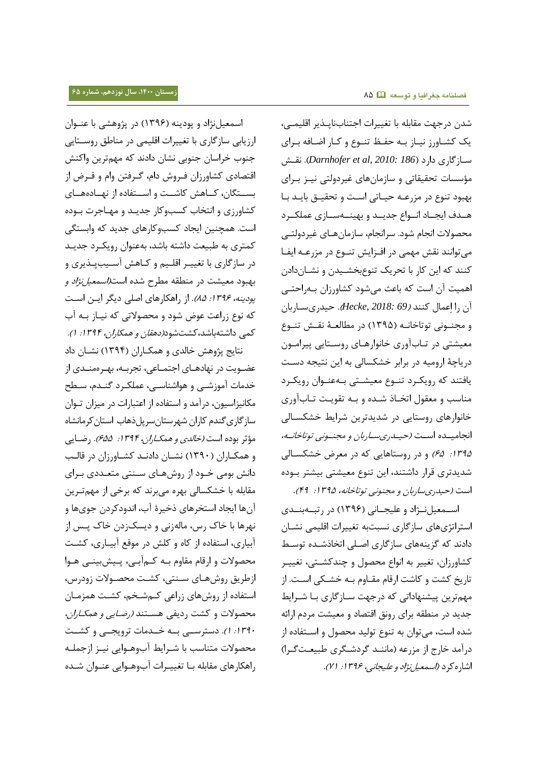اسمعیلنژاد و پودینه (۱۳۹۶) در پژوهشی با عنـوان ارزیلبی سلزگلری بل تغییرات اقلیمی لر منلطق روساتلیی جنوب خراسان جنوبی نشان دادند که مهمترین واکنش اقتصادی کشاورزان فـروش دام، گـرفتن وام و قـرض از بسـتگان، کـاهش کاشــت و اســتفاده از نهــادههــای کشاورزی و انتخاب کسبوکار جدیـد و مهـاجرت بـوده است. همچنین ایجلل کسبوکلرهلی جدید که وابستگی کمتری به طبیعت داشته باشد، بهعنوان رویک رد جدیـد در سازگاری با تغییـر اقلـیم و کـاهش آسـیبپـذیری و بهبود معیشت در منطقه مطرح شده است*(اسمعیل نژاد و* بو*دینه، ۱۳۹۶: ۸۵)*. از راهکارهای اصلی دیگر ایـن اسـت که نوع زراعت عوض شول و محصوالتی که نیالز باه آب کمی داشتهباشد،کشتشود*(دهقان و همکاران، ۱۳۹۴: ۱).* 

نتایج پژوهش خالدی و همکـاران (۱۳۹۴) نشـان داد عضــویت در نهادهــای اجـتمــاعی، تجربــه، بهــرهمنــدی از خدمات آموزشـی و هواشناسـی، عملکـرد گنـدم، سـطح مکانیزاسیون، درآمد و استفاده از اعتبارات در میزان تـوان سازگاریگندم کاران شهرستانسرپلذهاب استانکرمانشاه مؤثر بوده است *(خالدی و همکـاران، ۱۳۹۴: ۶۵۵).* رضـایی و همکـاران (١٣٩٠) نشـان دادنـد کشـاورزان در قالـب دانش بومی خـود از روشهـای سـنتی متعـددی بـرای مقابله با خشکسالی بهره میبرند که برخی از مهمترین آنهل ایجلل استخرهلی ذتیرۀ آب، اندولکرلن جویهل و نهرها با خاک رس، مالهزنی و دیسکزدن خاک پـس از آبیاری، استفاده از کاه و کلش در موقع آبیـاری، کشـت محصولات و ارقام مقاوم بـه کــمآبــی، پــیش:ینــی هــوا ازطریق روشهای سنتی، کشت محصولات زودرس، استفاده از روشهای زراعی کهشخم، کشت همزمان محصوالت و کشت رلیفی هساتند )رضالیی و همسالران، : 1۳۹ز. ا). دسترستی به خصدمات ترویجهی و کشــت محصولات متناسب با شـرایط آبوهـوایی نیـز ازجملـه راهکارهای مقابله بـا تغییـرات آبوهـوایی عنـوان شـده

شدن درجهت مقابله با تغییرات اجتنابناپـذیر اقلیمـی، یک کشـاورز نیـاز بـه حفـظ تنـوع و کـار اضـافه بـرای سالزگلری لارل )*186 2010: ,al et Darnhofer*). نقا مؤسسات تحقیقاتی و سازمانهای غیردولتی نیـز بـرای بهبود تنوع در مزرعـه حیـاتی است و تحقیـق بایـد بـا هـدف ایجـاد انـواع جدیـد و بهینــهسـازی عملکـرد محصولات انجام شود. سرانجام، سازمان هـای غیر دولتــی می توانند نقش مهمی در افـزایش تنـوع در مزرعـه ایفـا کنند که این کار با تحریک تنوع بخشـیدن و نشـاندادن اهمیت آن است که بلعث می شول کشلورزان باه راحتای ِ آن را اِ عملل کنند )*69 2018: ,Hecke*). حیدریسالربلن و مجنـونی توتاخانـه (۱۳۹۵) در مطالعـهٔ نقـش تنـوع معیشتی در تاب آوری خانوارهای روستایی پیرامون دریاچۀ ارومیه در برابر خشکسالی به این نتیجه دست یافتند که رویکرد تنوع معیشتی بهعنوان رویکرد مناسب و معقول اتخـاذ شـده و بـه تقویـت تـابآوری خانوارهای روستایی در شدیدترین شرایط خشکسالی انجامیده است (حیدریساربان و مجنونی توتاخانه، :8375 15( و لر روستلهلیی که لر معرض تشسسالشی شدیدتری قرار لاشتند، این تنوع معیشتی بیشتر باوله است (حیدریساربان و مجنونی توتاخانه، ۱۳۹۵: ۴۹).

اسمعیل نواد و علیجانی (۱۳۹۶) در رتبهبندی استراتهیهلی سلزگلری نسبتبه تغییرات اقلیمی نشالن دادند که گزینههای سازگاری اصلی اتخاذشـده توسط کشلورزان، تغییر به انواع محصول و چندکشاتی، تغییار تاریخ کشت و کاشت ارقام مقـاوم بـه خشـکی اسـت. از مهمترین پیشنهاداتی که درجهت سـازگاری بـا شـرایط جدید لر منطقه برای رونق اقتصلل و معیشت مرلم ارائه شده است، میتوان به تنوع توشید محصول و اساتفلله از درآمد خارج از مزرعه (ماننـد گردشـگری طبیعـتگـرا) اشاره کرد *(اسمعیل نژاد و علیجانی، ۱۳۹۶: ۷۱).*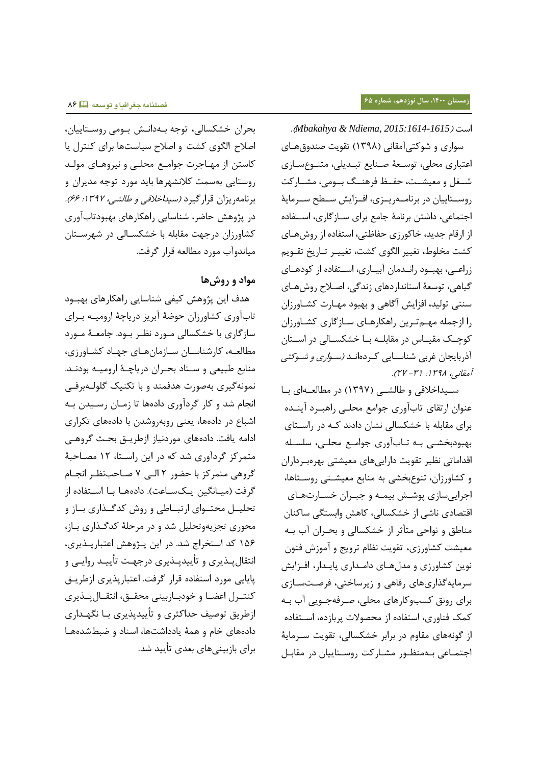## .)*Mbakahya & Ndiema, 2015:1614-1615*( است

 سواری و شوکتیآمقلنی )8377( تقویت صندوقهالی اعتباری محلی، توسعهٔ صنایع تبـدیلی، متنـوعسـازی شعل و معیشـت، حفـظ فرهنـگ بـومی، مشـارکت روسـتاییان در برنامـهریـزی، افـزایش سـطح سـرمایهٔ اجتملعی، لاشتن برنلمۀ جلمع برای سالزگلری، اساتفلله از ارقلم جدید، تلکورزی حفلظتی، استفلله از رو هالی کشت مخلوط، تغییر الگوی کشت، تغییـر تـاریخ تقــویم زراعـی، بهبـود رانـدمان آبیـاری، اسـتفاده از کودهـای گیلهی، توسعۀ استلندارلهلی زندگی، اصامح رو هالی سنتی تولید، افزایش آگاهی و بهبود مهـارت کشـاورزان را ازجمله مهم ترین راهکارهای سازگاری کشاورزان کوچـک مقیـاس در مقابلــه بـا خشکســالی در اســتان آذربایجان غربی شناسـایی کـردهانـد *(سـواری و شـوکتی* آمقانی، ۱۳۹۸: (۳۲ - ۲۷).

سیداخلاقی و طالشی (۱۳۹۷) در مطالعهای با عنوان ارتقای تابآوری جوامع محلبی راهبرد آینـده برای مقابله با خشکسالی نشان دادند کـه در راسـتای بهبودبخشی بـه تـاب آوری جوامـع محلـی، سلسـله اقداماتی نظیر تقویت داراییهای معیشتی بهرهبرداران و کشاورزان، تنوعبخشی به منابع معیشـتی روسـتاها، اجراییسازی پوشش بیمه و جبـران خسـارتهـای اقتصادی ناشی از خشکسالی، کاهش وابستگی ساکنان مناطق و نواحی متأثر از خشکسالی و بحـران آب بـه معیشت کشلورزی، تقویت نظلم ترویج و آموز فنون نوین کشاورزی و مدلهای دامداری پایدار، افـزایش سرمایهگذاریهای رفاهی و زیرساختی، فرصتسازی برای رونق کسبوکلرهلی محلی، صارفه جاویی آب باه کمک فناوری، استفاده از محصولات پربازده، استفاده از گونههای مقاوم در برابر خشکسالی، تقویت سـرمایهٔ اجتمالعی باه منظاور مشالرکت روساتلییلن لر مقلبال

بحران خشکسالی، توجه بـهدانـش بـومی روسـتاییان، اصلاح الگوی کشت و اصلاح سیاستها برای کنترل یا کاستن از مهـاجرت جوامـع محلـی و نیروهـای مولـد روستلیی بهسمت کمنشهرهل بلید مورل توجه مدیران و برنامهریزان قرارگیرد *(سیداخلاقی و طالشی، ۱۳۹۷: ۶۶).* در پژوهش حاضر، شناسایی راهکارهای بهبودتابآوری کشاورزان درجهت مقابله با خشکسـالی در شهرسـتان میلندوآب مورل مطلشعه قرار گرفت.

## **مواد و روشها**

هدف این پژوهش کیفی شناسایی راهکارهای بهبــود تلبآوری کشلورزان حوضۀ آبریر لریلچۀ ارومیاه بارای سازگاری با خشکسالی مـورد نظـر بـود. جامعـهٔ مـورد مطالعه، کارشناسان سازمانهای جهاد کشاورزی، منابع طبیعی و سـتاد بحـران دریاچـهٔ ارومیـه بودنـد. نمونهگیری بهصورت هدفمند و با تکنیک گلولـهبرفـی انجام شد و کار گردآوری دادهها تا زمـان رسـیدن بـه اشباع در دادهها، یعنی روبهروشدن با دادههای تکراری ادامه یافت. دادههای موردنیاز ازطریـق بحـث گروهـی متمرکز گردآوری شد که در این راستا، ۱۲ مصاحبهٔ گروهی متمرکر بل حضور 0 اشای 7 صالحب نظار انجالم گرفت (میـانگین یـکسـاعت). دادههـا بـا اسـتفاده از تحلیــل محتــوای ارتبــاطی و روش کدگــذاری بــاز و محوری تجریهوتحلیل شد و لر مرحلۀ کدگاااری بالز، ۱۵۶ کد استخراج شد. در این پـژوهش اعتبارپـذیری، انتقال یــذیری و تأییدیــذیری درجهـت تأییــد روایــی و پایایی مورد استفاده قرار گرفت. اعتبارپذیری ازطریتی کنتـرل اعضـا و خودبـازبینی محقــق، انتقــال پــذیری ازطریق توصیف حداکثری و تأییدیذیری بـا نگهـداری لالههلی تلم و همۀ یلللاشتهل، اسنلل و ضبطشدههال برای بازبینیهای بعدی تأیید شد.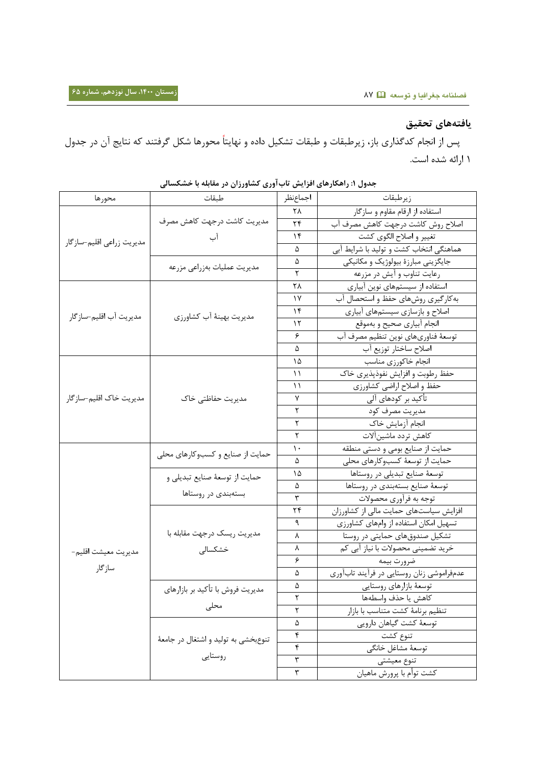# **یافته ها ی تحقیق**

پس از انجام کدگذاری باز، زیرطبقات و طبقات تشکیل داده و نهایتاً محورها شکل گرفتند که نتایج آن در جدول 8 ارائه شده است.

|                           | ت<br>. . <i>. .</i>                              | ر … ب <i>در</i> ت        | . . <i>.</i>                              |
|---------------------------|--------------------------------------------------|--------------------------|-------------------------------------------|
| محورها                    | طبقات                                            | اجماعنظر                 | زيرطبقات                                  |
| مديريت زراعي اقليم-سازگار |                                                  | ٢٨                       | استفاده از ارقام مقاوم و سازگار           |
|                           | مديريت كاشت درجهت كاهش مصرف                      | ٢۴                       | اصلاح روش كاشت درجهت كاهش مصرف آب         |
|                           | آب                                               | ۱۴                       | تغيير و اصلاح الگوى كشت                   |
|                           |                                                  | ۵                        | هماهنگی انتخاب کشت و تولید با شرایط آبی   |
|                           | مديريت عمليات بهزراعي مزرعه                      | ۵                        | جایگزینی مبارزهٔ بیولوژیک و مکانیکی       |
|                           |                                                  | ٢                        | رعايت تناوب و آيش در مزرعه                |
|                           | مديريت بهينهٔ آب كشاورزي                         | ۲۸                       | استفاده از سیستمهای نوین آبیاری           |
|                           |                                                  | ۱۷                       | به کارگیری روشهای حفظ و استحصال آب        |
| مديريت آب اقليم–سازگار    |                                                  | ۱۴                       | اصلاح و بازسازي سيستمهاي أبياري           |
|                           |                                                  | ۱۲                       | انجام أبياري صحيح و بهموقع                |
|                           |                                                  | ۶                        | توسعهٔ فناوریهای نوین تنظیم مصرف آب       |
|                           |                                                  | ۵                        | اصلاح ساختار توزيع آب                     |
|                           | مديريت حفاظتي خاک                                | ۱۵                       | انجام خاكورزي مناسب                       |
|                           |                                                  | ۱۱                       | حفظ رطوبت و افزایش نفوذپذیری خاک          |
|                           |                                                  | ۱۱                       | حفظ و اصلاح اراضي كشاورزي                 |
| مديريت خاک اقليم–سازگار   |                                                  | ٧                        | تأکید بر کودهای آلی                       |
|                           |                                                  | ٢                        | مديريت مصرف كود                           |
|                           |                                                  | ٢                        | انجام آزمايش خاك                          |
|                           |                                                  | ٢                        | كاهش تردد ماشين آلات                      |
|                           | حمایت از صنایع و کسبوکارهای محلی                 | ١.                       | حمایت از صنایع بومی و دستی منطقه          |
|                           |                                                  | ۵                        | حمایت از توسعهٔ کسبوکارهای محلی           |
|                           | حمايت از توسعهٔ صنايع تبديلي و                   | ۱۵                       | توسعة صنايع تبديلي در روستاها             |
|                           | بستهبندی در روستاها                              | ۵                        | توسعهٔ صنایع بستهبندی در روستاها          |
|                           |                                                  | ٣                        | توجه به فرأوري محصولات                    |
|                           |                                                  | ۲۴                       | افزایش سیاستهای حمایت مالی از کشاورزان    |
|                           |                                                  | ٩                        | تسهیل امکان استفاده از وامهای کشاورزی     |
|                           | مدیریت ریسک درجهت مقابله با                      | ٨                        | تشکیل صندوقهای حمایتی در روستا            |
| مديريت معيشت اقليم-       | خشكسالى                                          | ٨                        | خرید تضمینی محصولات با نیاز آبی کم        |
| سازگار                    |                                                  | ۶                        | ضرورت بيمه                                |
|                           |                                                  | ۵                        | عدمفراموشی زنان روستایی در فرآیند تابآوری |
|                           | مدیریت فروش با تأکید بر بازارهای                 | ۵                        | توسعهٔ بازارهای روستایی                   |
|                           |                                                  | $\mathbf{\widetilde{v}}$ | كاهش يا حذف واسطهها                       |
|                           | محلى                                             | ٢                        | تنظيم برنامة كشت متناسب با بازار          |
|                           |                                                  | ۵                        | توسعهٔ کشت گیاهان دارویی                  |
|                           | تنوع بخشی به تولید و اشتغال در جامعهٔ<br>روستايى | $\pmb{\mathsf{r}}$       | تنوع كشت                                  |
|                           |                                                  | ۴                        | توسعهٔ مشاغل خانگی                        |
|                           |                                                  | ٣                        | تنوع معيشتي                               |
|                           |                                                  | ٣                        | كشت توأم با پرورش ماهيان                  |

**جدول :0 راهکارهای افزایش تابآوری کشاورزان در مقابله با خشکسالی**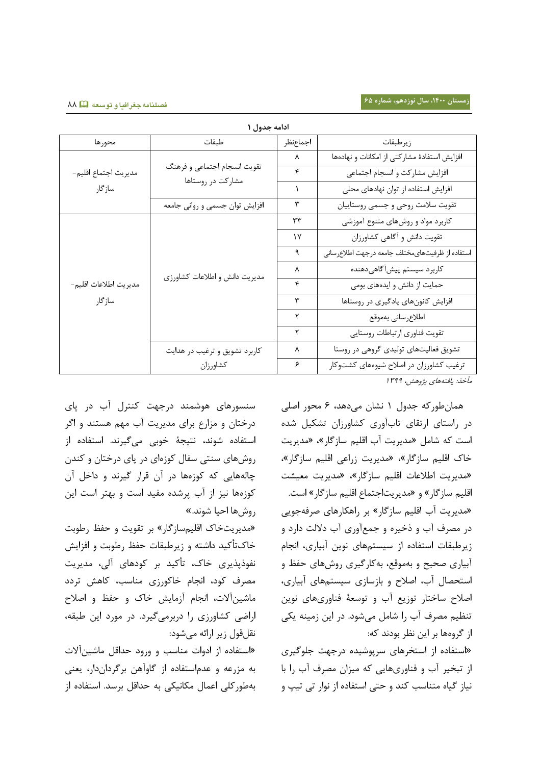| ادامه جدول ۱                    |                                                   |          |                                                 |  |  |  |
|---------------------------------|---------------------------------------------------|----------|-------------------------------------------------|--|--|--|
| محورها                          | طبقات                                             | اجماعنظر | زيرطبقات                                        |  |  |  |
| مديريت اجتماع اقليم-<br>سازگار  | تقويت انسجام اجتماعي و فرهنگ<br>مشارکت در روستاها | ٨        | افزایش استفادهٔ مشارکتی از امکانات و نهادهها    |  |  |  |
|                                 |                                                   | ۴        | افزایش مشاركت و انسجام اجتماعی                  |  |  |  |
|                                 |                                                   | J.       | افزایش استفاده از توان نهادهای محلی             |  |  |  |
|                                 | افزایش توان جسمی و روانی جامعه                    | ٣        | تقويت سلامت روحي وجسمي روستاييان                |  |  |  |
| مديريت اطلاعات اقليم-<br>سازگار | مدیریت دانش و اطلاعات کشاورزی                     | ٣٣       | کاربرد مواد و روشهای متنوع آموزشی               |  |  |  |
|                                 |                                                   | ۱۷       | تقویت دانش و آگاهی کشاورزان                     |  |  |  |
|                                 |                                                   | ٩        | استفاده از ظرفيتهاىمختلف جامعه درجهت اطلاعرساني |  |  |  |
|                                 |                                                   | ٨        | كاربرد سيستم پيشآگاهيدهنده                      |  |  |  |
|                                 |                                                   | ۴        | حمایت از دانش و ایدههای بومی                    |  |  |  |
|                                 |                                                   | ٣        | افزایش کانونهای یادگیری در روستاها              |  |  |  |
|                                 |                                                   | ٢        | اطلاع رساني بهموقع                              |  |  |  |
|                                 |                                                   | ٢        | تقويت فناوري ارتباطات روستايي                   |  |  |  |
|                                 | کاربرد تشویق و ترغیب در هدایت                     | ٨        | تشویق فعالیتهای تولیدی گروهی در روستا           |  |  |  |
|                                 | كشاورزان                                          | ۶        | ترغیب کشاورزان در اصلاح شیوههای کشتوکار         |  |  |  |
|                                 |                                                   |          |                                                 |  |  |  |

**ادامه جدول 0**

مأخذ: یافتههای پژوهش، ۱۳۹۹

 هملنطورکه جدول 8 نشلن میلهد، 1 محور اصلی لر راستلی ارتقلی تلبآوری کشلورزان تشسیل شده است که شلمل »مدیریت آب اقلیم سلزگلر«، »مدیریت تلک اقلیم سلزگلر«، »مدیریت زراعی اقلیم سلزگلر«، «مدیریت اطلاعات اقلیم سازگار»، «مدیریت معیشت اقلیم سلزگلر« و »مدیریتاجتملع اقلیم سلزگلر« است. »مدیریت آب اقلیم سلزگلر« بر راهسلرهلی صرفهجویی لر مصرف آب و ذتیره و جمعآوری آب لالشت لارل و زیرطبقلت استفلله از سیستمهلی نوین آبیلری، انجلم آبیاری صحیح و بهموقع، بهکارگیری روشهای حفظ و استحصلل آب، اصمح و بلزسلزی سیستمهلی آبیلری، اصمح سلتتلر توزیع آب و توسعۀ فنلوریهلی نوین تنظیم مصرف آب را شلمل میشول. لر این زمینه یسی از گروههل بر این نظر بولند که:

«استفاده از استخرهای سرپوشیده درجهت جلوگیری از تبخیر آب و فنلوریهلیی که میران مصرف آب را بل نیلز گیله متنلسب کند و حتی استفلله از نوار تی تیپ و

سنسورهلی هوشمند لرجهت کنترل آب لر لی لرتتلن و مرارع برای مدیریت آب مهم هستند و اگر استفلله شوند، نتیجۀ توبی میگیرند. استفلله از روشهای سنتی سفال کوزهای در پای درختان و کندن چلشههلیی که کوزههل لر آن قرار گیرند و لاتل آن کوزههل نیر از آب رشده مفید است و بهتر است این رو هل احیل شوند.«

«مدیریتخاک اقلیمسازگار» بر تقویت و حفظ رطوبت خاکتأکید داشته و زیرطبقات حفظ رطوبت و افزایش نفوذپذیری خاک، تأکید بر کودهای آلی، مدیریت مصرف کود، انجام خاکورزی مناسب، کاهش تردد ماشینآلات، انجام آزمایش خاک و حفظ و اصلاح اراضی کشلورزی را لربرمیگیرل. لر مورل این طبقه، نقلقول زیر ارائه میشول:

»استفلله از الوات منلسب و ورول حداقل ملشینآالت به مررعه و عدماستفلله از گلوآهن برگرلانلار، یعنی بهطورکلی اعملل مسلنیسی به حداقل برسد. استفلله از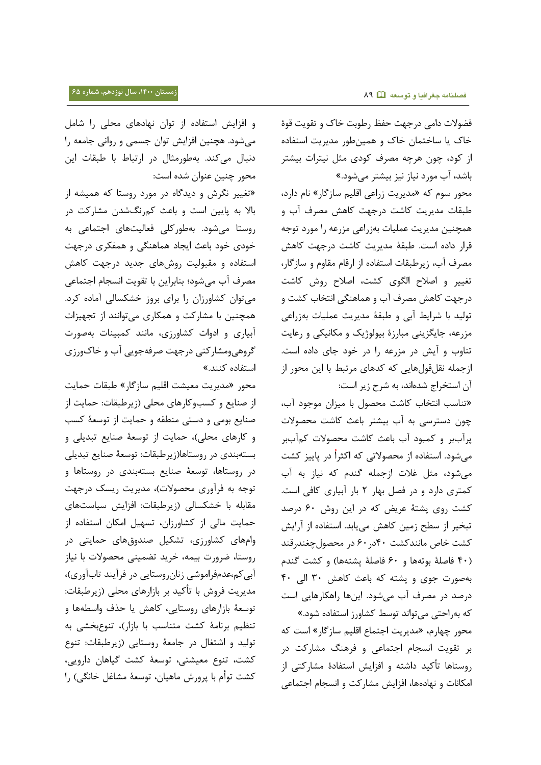فضولات دامی درجهت حفظ رطوبت خاک و تقویت قوۀ تلک یل سلتتملن تلک و همینطور مدیریت استفلله از کول، چون هرچه مصرف کولی مثل نیترات بیشتر بلشد، آب مورل نیلز نیر بیشتر میشول.«

محور سوم که »مدیریت زراعی اقلیم سلزگلر« نلم لارل، طبقلت مدیریت کلشت لرجهت کله مصرف آب و همچنین مدیریت عملیلت بهزراعی مررعه را مورل توجه قرار داده است. طبقۀ مدیریت کاشت درجهت کاهش مصرف آب، زیرطبقلت استفلله از ارقلم مقلوم و سلزگلر، تغییر و اصلاح الگوی کشت، اصلاح روش کاشت لرجهت کله مصرف آب و هملهنگی انتخلب کشت و توشید بل شرایط آبی و طبقۀ مدیریت عملیلت بهزراعی مزرعه، جایگزینی مبارزۀ بیولوژیک و مکانیکی و رعایت تناوب و آیش در مزرعه را در خود جای داده است. ازجمله نقلقولهلیی که کدهلی مرتبط بل این محور از آن استخراج شدهاند، به شرح زیر است:

»تنلسب انتخلب کلشت محصول بل میران موجول آب، چون لسترسی به آب بیشتر بلعث کلشت محصوالت رآببر و کمبول آب بلعث کلشت محصوالت کمآببر میشول. استفلله از محصوالتی که اکثرا لر لییر کشت میشول، مثل غمت ازجمله گندم که نیلز به آب کمتری لارل و لر فصل بهلر 0 بلر آبیلری کلفی است. کشت روی پشتۀ عریض که در این روش ۶۰ درصد تبخیر از سطح زمین کاهش مییابد. استفاده از آرایش کشت تلص ملنندکشت 48لر18 لر محصولچغندرقند )48 فلصلۀ بوتههل و 18 فلصلۀ شتههل( و کشت گندم بهصورت جوی و شته که بلعث کله 38 اشی 48 لرصد لر مصرف آب میشول. اینهل راهسلرهلیی است که بهراحتی میتواند توسط کشاورز استفاده شود.»

محور چهلرم، »مدیریت اجتملع اقلیم سلزگلر« است که بر تقویت انسجلم اجتملعی و فرهنگ مشلرکت لر روستاها تأکید داشته و افزایش استفادۀ مشارکتی از امکانات و نهادهها، افزایش مشارکت و انسجام اجتماعی

و افزایش استفاده از توان نهادهای محلی را شامل میشود. هچنین افزایش توان جسمی و روانی جامعه را لنبلل میکند. بهطورمثلل لر ارتبلط بل طبقلت این محور چنین عنوان شده است:

»تغییر نگر و لیدگله لر مورل روستل که همیشه از بلال به لیین است و بلعث کمرنگشدن مشلرکت لر روستل میشول. بهطورکلی فعلشیتهلی اجتملعی به خودی خود باعث ایجاد هماهنگی و همفکری درجهت استفاده و مقبولیت روشهای جدید درجهت کاهش مصرف آب میشول؛ بنلبراین بل تقویت انسجلم اجتملعی میتوان کشلورزان را برای بروز تشسسلشی آملله کرل. همچنین با مشارکت و همکاری میتوانند از تجهیزات آبیلری و الوات کشلورزی، ملنند کمبینلت بهصورت گروهیومشلرکتی لرجهت صرفهجویی آب و تلکورزی استفاده کنند.»

محور »مدیریت معیشت اقلیم سلزگلر« طبقلت حملیت از صنلیع و کسبوکلرهلی محلی )زیرطبقلت: حملیت از صنلیع بومی و لستی منطقه و حملیت از توسعۀ کسب و کارهای محلی)، حمایت از توسعهٔ صنایع تبدیلی و بستهبندی لر روستلهل)زیرطبقلت: توسعۀ صنلیع تبدیلی لر روستلهل، توسعۀ صنلیع بستهبندی لر روستلهل و توجه به فرآوری محصولات)، مدیریت ریسک درجهت مقلبله بل تشسسلشی )زیرطبقلت: افرای سیلستهلی حمایت مالی از کشاورزان، تسهیل امکان استفاده از وامهلی کشلورزی، تشسیل صندوقهلی حملیتی لر روستل، ضرورت بیمه، ترید تضمینی محصوالت بل نیلز آبیکم،عدمفراموشی زنلنروستلیی لر فرآیند تلبآوری(، مدیریت فروش با تأکید بر بازارهای محلی (زیرطبقات: توسعۀ بازارهای روستایی، کاهش یا حذف واسطهها و تنظیم برنلمۀ کشت متنلسب بل بلزار(، تنوعبخشی به توشید و اشتغلل لر جلمعۀ روستلیی )زیرطبقلت: تنوع کشت، تنوع معیشتی، توسعۀ کشت گیلهلن لارویی، کشت توأم بل رور ملهیلن، توسعۀ مشلغل تلنگی( را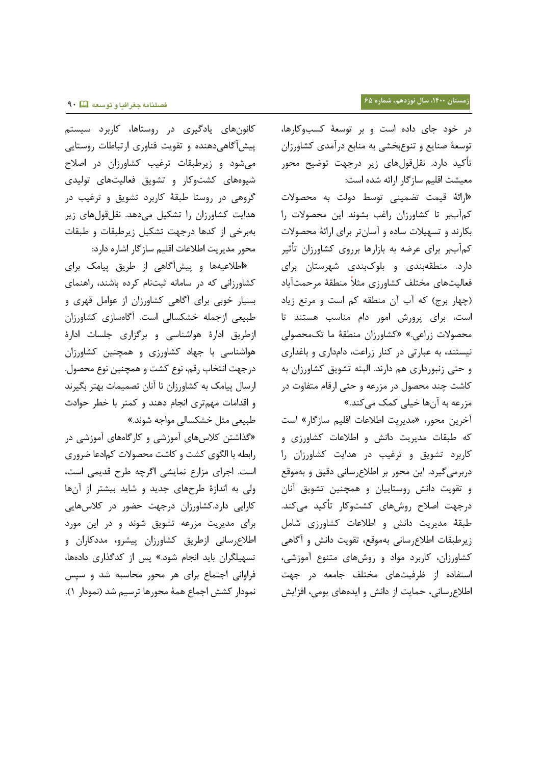لر تول جلی لاله است و بر توسعۀ کسبوکلرهل، توسعۀ صنلیع و تنوعبخشی به منلبع لرآمدی کشلورزان تأکید دارد. نقلقولهای زیر درجهت توضیح محور معیشت اقلیم سلزگلر ارائه شده است:

»ارائۀ قیمت تضمینی توسط لوشت به محصوالت کمآببر تل کشلورزان راغب بشوند این محصوالت را بسلرند و تسهیمت سلله و آسلنتر برای ارائۀ محصوالت کمآببر برای عرضه به بازارها برروی کشاورزان تأثیر لارل. منطقهبندی و بلوکبندی شهرستلن برای فعالیتهای مختلف کشاورزی مثلاً منطقۀ مرحمتآباد (چهار برج) که آب آن منطقه کم است و مرتع زیاد است، برای پرورش امور دام مناسب هستند تا محصوالت زراعی.« »کشلورزان منطقۀ مل تکمحصوشی نیستند، به عبلرتی لر کنلر زراعت، لاملاری و بلغداری و حتی زنبورلاری هم لارند. اشبته تشویق کشلورزان به کلشت چند محصول لر مررعه و حتی ارقلم متفلوت لر مزرعه به آنها خیلی کمک می *ک*ند.»

آخرین محور، «مدیریت اطلاعات اقلیم سازگار» است که طبقات مدیریت دانش و اطلاعات کشاورزی و کلربرل تشویق و ترغیب لر هدایت کشلورزان را دربرمیگیرد. این محور بر اطلاعرسانی دقیق و بهموقع و تقویت دانش روستاییان و همچنین تشویق آنان درجهت اصلاح روشهای کشتوکار تأکید میکند. طبقۀ مدیریت دانش و اطلاعات کشاورزی شامل زیرطبقات اطلاعرسانی بهموقع، تقویت دانش و آگاهی کشاورزان، کاربرد مواد و روشهای متنوع آموزشی، استفاده از ظرفیتهای مختلف جامعه در جهت اطلاع رسانی، حمایت از دانش و ایدههای بومی، افزایش

کلنونهلی یللگیری لر روستلهل، کلربرل سیستم پیش آگاهی دهنده و تقویت فناوری ارتباطات روستایی میشول و زیرطبقلت ترغیب کشلورزان لر اصمح شیوههلی کشتوکلر و تشویق فعلشیتهلی توشیدی گروهی لر روستل طبقۀ کلربرل تشویق و ترغیب لر هدایت کشلورزان را تشسیل میلهد. نقلقولهلی زیر بهبرتی از کدهل لرجهت تشسیل زیرطبقلت و طبقلت محور مدیریت اطلاعات اقلیم سازگار اشاره دارد:

«اطلاعیهها و پیشآگاهی از طریق پیامک برای کشلورزانی که لر سلملنه بتنلم کرله بلشند، راهنملی بسیلر توبی برای آگلهی کشلورزان از عوامل قهری و طبیعی ازجمله تشسسلشی است. آگلهسلزی کشلورزان ازطریق الارۀ هواشنلسی و برگراری جلسلت الارۀ هواشنلسی بل جهلل کشلورزی و همچنین کشلورزان لرجهت انتخلب رقم، نوع کشت و همچنین نوع محصول. ارسلل یلمک به کشلورزان تل آنلن تصمیملت بهتر بگیرند و اقداملت مهمتری انجلم لهند و کمتر بل تطر حوالث طبیعی مثل خشکسالی مواجه شوند.»

»گااشتن کمسهلی آموزشی و کلرگلههلی آموزشی لر رابطه بل اشگوی کشت و کلشت محصوالت کمالعل ضروری است. اجرای مرارع نملیشی اگرچه طرح قدیمی است، وشی به اندازۀ طرحهلی جدید و شلید بیشتر از آنهل کارایی دارد.کشاورزان درجهت حضور در کلاسهایی برای مدیریت مررعه تشویق شوند و لر این مورل اطلاعرسانی ازطریق کشاورزان پیشرو، مددکاران و تسهیلگران بلید انجلم شول.« س از کدگااری لالههل، فراوانی اجتماع برای هر محور محاسبه شد و سپس نمودار کشش اجماع همۀ محورها ترسیم شد (نمودار ١).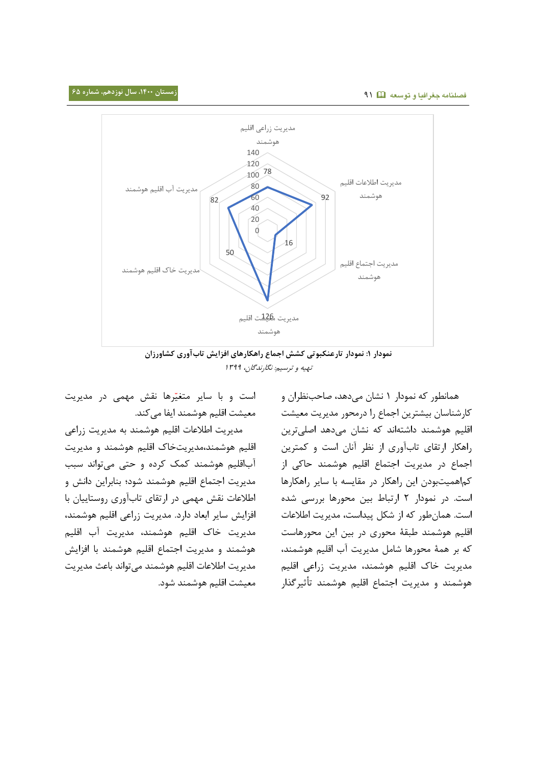

**نمودار :0 نمودار تارعنکبوتی کشش اجما راهکارهای افزایش تابآوری کشاورزان** تهیه و ترسیم: نگلرندگلن، 8377

هملنطور که نمولار 8 نشلن میلهد، صلحبنظران و کلرشنلسلن بیشترین اجملع را لرمحور مدیریت معیشت اقلیم هوشمند لاشتهاند که نشلن میلهد اصلیترین راهسلر ارتقلی تلبآوری از نظر آنلن است و کمترین اجملع لر مدیریت اجتملع اقلیم هوشمند حلکی از کماهمیتبودن این راهکار در مقایسه با سایر راهکارها است. لر نمولار 0 ارتبلط بین محورهل بررسی شده است. همانطور که از شکل پیداست، مدیریت اطلاعات اقلیم هوشمند طبقۀ محوری لر بین این محورهلست که بر همۀ محورهل شلمل مدیریت آب اقلیم هوشمند، مدیریت تلک اقلیم هوشمند، مدیریت زراعی اقلیم هوشمند و مدیریت اجتملع اقلیم هوشمند ت یرگاار

است و با سایر متغیّرها نقش مهمی در مدیریت معیشت اقلیم هوشمند ایفا می کند.

مدیریت اطلاعات اقلیم هوشمند به مدیریت زراعی اقلیم هوشمند،مدیریتتلک اقلیم هوشمند و مدیریت آباقلیم هوشمند کمک کرله و حتی میتواند سبب مدیریت اجتملع اقلیم هوشمند شول؛ بنلبراین لان و اطلاعات نقش مهمی در ارتقای تابآوری روستاییان با افزایش سایر ابعاد دارد. مدیریت زراعی اقلیم هوشمند، مدیریت تلک اقلیم هوشمند، مدیریت آب اقلیم هوشمند و مدیریت اجتملع اقلیم هوشمند بل افرای مدیریت اطلاعات اقلیم هوشمند میتواند باعث مدیریت معیشت اقلیم هوشمند شول.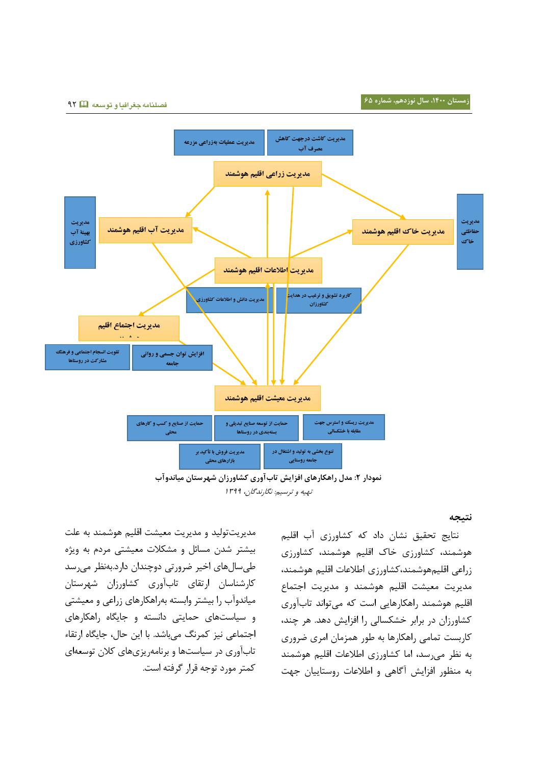**فصلنامه جغرافیا و توسعه** 70



**نمودار :1 مدل راهکارهای افزایش تابآوری کشاورزان شهرستان میاندوآب** تهیه و ترسیم: نگلرندگلن، 8377

**نتیجه**

نتلیج تحقیق نشلن لال که کشلورزی آب اقلیم هوشمند، کشلورزی تلک اقلیم هوشمند، کشلورزی زراعی اقلیمهوشمند،کشاورزی اطلاعات اقلیم هوشمند، مدیریت معیشت اقلیم هوشمند و مدیریت اجتملع اقلیم هوشمند راهسلرهلیی است که میتواند تلبآوری کشاورزان در برابر خشکسالی را افزایش دهد. هر چند، کلربست تملمی راهسلرهل به طور همرملن امری ضروری به نظر میرسد، امل کشلورزی اطمعلت اقلیم هوشمند به منظور افزایش آگاهی و اطلاعات روستاییان جهت

مدیریتتوشید و مدیریت معیشت اقلیم هوشمند به علت بیشتر شدن مسائل و مشکلات معیشتی مردم به ویژه طیسللهلی اتیر ضرورتی لوچندان لارل.بهنظر میرسد کلرشنلسلن ارتقلی تلبآوری کشلورزان شهرستلن میلندوآب را بیشتر وابسته بهراهسلرهلی زراعی و معیشتی و سیلستهلی حملیتی لانسته و جلیگله راهسلرهلی اجتملعی نیر کمرنگ میبلشد. بل این حلل، جلیگله ارتقلء تلبآوری لر سیلستهل و برنلمهریریهلی کمن توسعهای کمتر مورل توجه قرار گرفته است.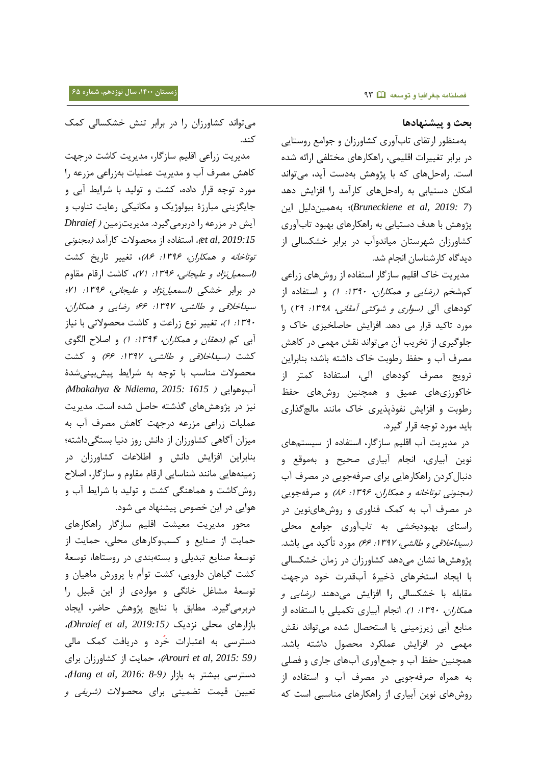#### **بحث و پیشنهادها**

 بهمنظور ارتقلی تلبآوری کشلورزان و جوامع روستلیی لر برابر تغییرات اقلیمی، راهسلرهلی مختلفی ارائه شده است. راهحلهای که با پژوهش بهدست آید، می تواند امکان دستیابی به راهحلهای کارآمد را افزایش دهد )*7 2019: ,al et Bruneckiene*)؛ بههمینلشیل این پژوهش با هدف دستیابی به راهکارهای بهبود تابآوری کشلورزان شهرستلن میلندوآب لر برابر تشسسلشی از لیدگله کلرشنلسلن انجلم شد.

مدیریت خاک اقلیم سازگار استفاده از روشهای زراعی کم شخم *(رضایی و همکاران، ١٣٩٠: ١)* و استفاده از کودهای آلی *(سواری و شوکتی آمقانی، ۱۳۹۸: ۲۹)* را مورد تاکید قرار می دهد. افزایش حاصلخیزی خاک و جلوگیری از تخریب آن میتواند نقش مهمی در کاهش مصرف آب و حفظ رطوبت خاک داشته باشد؛ بنابراین ترویج مصرف کولهلی آشی، استفللۀ کمتر از خاکورزیهای عمیق و همچنین روشهای حفظ رطوبت و افزایش نفوذپذیری خاک مانند مالچگذاری بلید مورل توجه قرار گیرل.

لر مدیریت آب اقلیم سلزگلر، استفلله از سیستمهلی نوین آبیلری، انجلم آبیلری صحیح و بهموقع و لنبللکرلن راهسلرهلیی برای صرفهجویی لر مصرف آب (مجنونی توتاخانه و همکاران، ۱۳۹۶: ۸۶) و صرفهجویی در مصرف آب به کمک فناوری و روشهاینوین در راستلی بهبولبخشی به تلبآوری جوامع محلی *(سیداخلاقی و طالشی، ۱۳۹۷: ۶۶)* مورد تأکید می باشد. پژوهشها نشان میدهد کشاورزان در زمان خشکسالی بل ایجلل استخرهلی ذتیرۀ آبقدرت تول لرجهت مقابله با خشکسالی را افزایش میدهند *(رضایی و* هم*کاران، ۱۳۹۰: ۱).* انجام آبیاری تکمیلی با استفاده از منلبع آبی زیرزمینی یل استحصلل شده میتواند نق مهمی در افزایش عملکرد محصول داشته باشد. همچنین حفظ آب و جمعآوری آبهای جاری و فصلی به همراه صرفهجویی لر مصرف آب و استفلله از رو هلی نوین آبیلری از راهسلرهلی منلسبی است که

میتواند کشاورزان را در برابر تنش خشکسالی کمک کند.

 مدیریت زراعی اقلیم سلزگلر، مدیریت کلشت لرجهت کله مصرف آب و مدیریت عملیلت بهزراعی مررعه را مورل توجه قرار لاله، کشت و توشید بل شرایط آبی و جایگزینی مبارزۀ بیولوژیک و مکانیکی رعایت تناوب و آیش در مزرعه را دربرمیگیرد. مدیریتزمین *( Dhraief 2019:15 ,al et*)، استفلله از محصوالت کلرآمد )مجنونی توتاخانه و همکاران، ۱۳۹۶: ۸۶)، تغییر تاریخ کشت (*اسمعیل نژاد و علیجانی، ۱۳۹۶: ۷۱)*، کاشت ارقام مقاوم در برابر خشکی *(اسمعیلiژاد و علیجانی، ۱۳۹۶: ۲۱؛* سیداتمقی و طلششی، :8377 11؛ رضلیی و همسلران، :8378 8(، تغییر نوع زراعت و کلشت محصوالتی بل نیلز آبی کم *(دهقان و همکاران، ۱۳۹۴: ۱)* و اصلاح الگوی کشت *(سیداخلاقی و طالشی، ۱۳۹۷: ۶۶)* و کشت محصوالت منلسب بل توجه به شرایط ی بینیشدۀ )*Mbakahya & Ndiema, 2015: 1615* ( آبوهوایی نیز در پژوهشهای گذشته حاصل شده است. مدیریت عملیات زراعی مزرعه درجهت کاهش مصرف آب به میزان آگاهی کشاورزان از دانش روز دنیا بستگیداشته؛ بنابراین افزایش دانش و اطلاعات کشاورزان در زمینههایی مانند شناسایی ارقام مقاوم و سازگار، اصلاح رو کلشت و هملهنگی کشت و توشید بل شرایط آب و هوایی در این خصوص پیشنهاد می شود.

 محور مدیریت معیشت اقلیم سلزگلر راهسلرهلی حملیت از صنلیع و کسبوکلرهلی محلی، حملیت از توسعۀ صنلیع تبدیلی و بستهبندی لر روستلهل، توسعۀ کشت گیلهلن لارویی، کشت توأم بل رور ملهیلن و توسعۀ مشلغل تلنگی و موارلی از این قبیل را دربرمیگیرد. مطابق با نتایج پژوهش حاضر، ایجاد بلزارهلی محلی نرلیک )*2019:15 ,al et Dhraief*)، دسترسی به اعتبارات خُرد و دریافت کمک مالی )*59 2015: ,al et Arouri*)، حملیت از کشلورزان برای لسترسی بیشتر به بلزار )*8-9 2016: ,al et Hang*)، تعیین قیمت تضمینی برای محصولات *(شریفی و*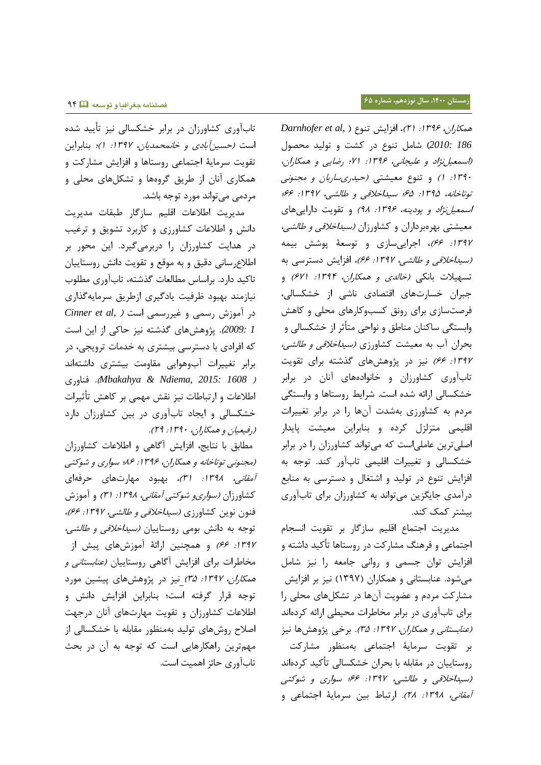تابآوری کشاورزان در برابر خشکسالی نیز تأیید شده است (حسین *آبادی و خانمحمدیان، ۱۳۹۷: ۱)؛* بنابراین تقویت سرملیۀ اجتملعی روستلهل و افرای مشلرکت و همسلری آنلن از طریق گروههل و تشسلهلی محلی و مرلمی میتواند مورل توجه بلشد.

مدیریت اطلاعات اقلیم سازگار طبقات مدیریت دانش و اطلاعات کشاورزی و کاربرد تشویق و ترغیب لر هدایت کشلورزان را لربرمیگیرل. این محور بر اطلاعرسانی دقیق و به موقع و تقویت دانش روستاییان تاکید دارد. براساس مطالعات گذشته، تابآوری مطلوب نیلزمند بهبول ظرفیت یللگیری ازطریق سرملیهگااری لر آموز رسمی و غیررسمی است ) *,al et Cinner 1 2009:*(. هوه هلی گاشته نیر حلکی از این است که افرادی با دسترسی بیشتری به خدمات ترویجی، در برابر تغییرات آبوهوایی مقلومت بیشتری لاشتهاند فنلوری .(*Mbakahya & Ndiema, 2015: 1608* ( اطلاعات و ارتباطات نیز نقش مهمی بر کاهش تأثیرات خشکسالی و ایجاد تابآوری در بین کشاورزان دارد )رفیعیلن و همسلران، :8378 07(.

مطابق با نتایج، افزایش آگاهی و اطلاعات کشاورزان )مجنونی توتلتلنه و همسلران، :8371 71؛ سواری و شوکتی *آمقانی، ۱۳۹۸: ۳۱)،* بهبود مهارتهای حرفهای کشاورزان *(سواریو شوکتی آمقانی، ۱۳۹۸: ۳۱)* و آموزش فنون نوین کشاورزی *(سیداخلاقی و طالشی، ۱۳۹۷: ۶۶)،* توجه به دانش بومی روستاییان *(سیداخلاقی و طالشی،* 1۳۹۲: ۶۶) و همچنین ارائهٔ آموزشهای پیش از مخاطرات برای افزایش آگاهی روستاییان *(عنابستانی و همکاران، ۱۳۹۷: ۳۵)* نیز در پژوهشهای پیشین مورد توجه قرار گرفته است؛ بنابراین افزایش دانش و اطلاعات کشاورزان و تقویت مهارتهای آنان درجهت اصلاح روشهای تولید بهمنظور مقابله با خشکسالی از مهمترین راهکارهایی است که توجه به آن در بحث تلبآوری حلئر اهمیت است.

همسلران، :8371 08(، افرای تنوع ) *,al et Darnhofer 186 2010:*( شلمل تنوع لر کشت و توشید محصول )اسمعیلنهال و علیجلنی، :8371 78؛ رضلیی و همسلران، :8378 8( و تنوع معیشتی )حیدریسلربلن و مجنونی توتاخانه، ۱۳۹۵: ۶۵؛ سیداخلاقی و طالشی، ۱۳۹۷: ۶۶؛ اسمعیل*ن اد و پودینه، ۱۳۹۶: ۹۸)* و تقویت داراییهای معیشتی بهرهبرداران و کشاورزان *(سیداخلاقی و طالشی،* :8377 11(، اجراییسلزی و توسعۀ وش بیمه *(سیداخلاقی و طالشی، ۱۳۹۷: ۶۶).* افزایش دسترسی به تسهیلات بانکی *(خالدی و همکاران، ۱۳۹۴: ۶۷۱)* و جبران خسارتهای اقتصادی ناشی از خشکسالی، فرصتسلزی برای رونق کسبوکلرهلی محلی و کله وابستگی ساکنان مناطق و نواحی متأثر از خشکسالی و بحران آب به معیشت کشاورزی *(سیداخلاقی و طالشی،* 1۳۹۲: ۶۶) نیز در پژوهشهای گذشته برای تقویت تلبآوری کشلورزان و تلنوالههلی آنلن لر برابر تشسسلشی ارائه شده است. شرایط روستلهل و وابستگی مرلم به کشلورزی بهشدت آنهل را لر برابر تغییرات اقلیمی متزلزل کرده و بنابراین معیشت پایدار اصلیترین علملیاست که میتواند کشلورزان را لر برابر تشسسلشی و تغییرات اقلیمی تلبآور کند. توجه به افزایش تنوع در تولید و اشتغال و دسترسی به منابع لرآمدی جلیگرین میتواند به کشلورزان برای تلبآوری بیشتر کمک کند.

مدیریت اجتملع اقلیم سلزگلر بر تقویت انسجلم اجتماعی و فرهنگ مشارکت در روستاها تأکید داشته و افزایش توان جسمی و روانی جامعه را نیز شامل میشود. عنابستانی و همکاران (۱۳۹۷) نیز بر افزایش مشلرکت مرلم و عضویت آنهل لر تشسلهلی محلی را برای تلبآوری لر برابر مخلطرات محیطی ارائه کرلهاند (*عنابستانی و همکاران، ۱۳۹۷: ۳۵).* برخی پژوهشها نیز بر تقویت سرملیۀ اجتملعی بهمنظور مشلرکت روستاییان در مقابله با بحران خشکسالی تأکید کردهاند )سیداتمقی و طلششی، :8377 11؛ سواری و شوکتی آمقانی، ۱۳۹۸: ۲۸). ارتباط بین سرمایۀ اجتماعی و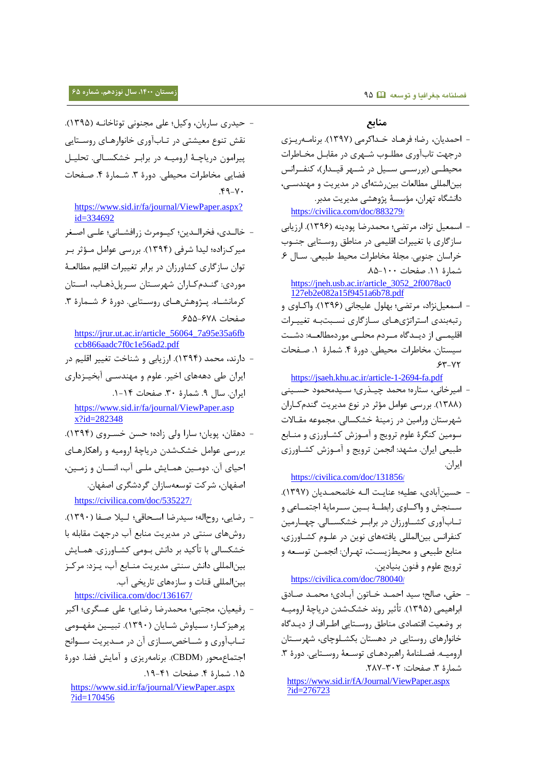## **زمستان ،0011 سال نوزدهم، شماره 65 فصلنامه جغرافیا و توسعه** 75

#### **منابع**

- احمدیلن، رضل؛ فرهالل تاداکرمی )8377(. برنلماه ریاری لرجهت تلبآوری مطلاوب شاهری لر مقلبال مخالطرات محیطــی (بررســی ســیل در شــهر قیــدار)، کنفــرانس بینالمللی مطالعات بین شتهای در مدیریت و مهندســی، لانشگله تهران، مؤسسۀ هوهشی مدیریت مدبر. [https://civilica.com/doc/883279](https://civilica.com/doc/883279/)/
- اسمعیل نهال، مرتضی؛ محمدرضل ولینه )8371(. ارزیلبی سلزگلری بل تغییرات اقلیمی لر منلطق روساتلیی جناوب خراسان جنوبی. مجلۀ مخاطرات محیط طبیعی. سـال ۶. شمارۀ ١١. صفحات ١٠٠-٨۵. [https://jneh.usb.ac.ir/article\\_3052\\_2f0078ac0](https://jneh.usb.ac.ir/article_3052_2f0078ac0127eb2e082a15f9451a6b78.pdf)

[127eb2e082a15f9451a6b78.pdf](https://jneh.usb.ac.ir/article_3052_2f0078ac0127eb2e082a15f9451a6b78.pdf) - اسمعیلنهال، مرتضی؛ بهلول علیجلنی )8371(. واکالوی و رتبهبندی استراتهیهالی سالزگلری نسابت باه تغییارات اقلیمــی از دیــدگاه مــردم محلــی موردمطالعــه: دشــت

سیستان. مخاطرات محیطی. دورۀ ۴. شمارۀ ١. صـفحات  $55 - YT$ 

<https://jsaeh.khu.ac.ir/article-1-2694-fa.pdf>

- امیرخانی، ستاره؛ محمد چیـذری؛ سـیدمحمود حسـینی (۱۳۸۸). بررسی عوامل مؤثر در نوع مدیریت گندمکاران شهرستلن ورامین لر زمینۀ تشسسلشی. مجموعه مقالالت سومین کنگرۀ علوم ترویج و آماوز کشالورزی و منالبع طبیعی ایران. مشهد: انجمن ترویج و آمـوزش کشـاورزی ایران.

## [https://civilica.com/doc/131856](https://civilica.com/doc/131856/)/

- حسینآبللی، عطیه؛ عنلیات اشاه تلنمحمادیلن )8377(. سـنجش و واکــاوی رابطــهٔ بــین ســرمایهٔ اجتمــاعی و تــابآوری کشــاورزان در برابــر خشکســالی. چهــارمین کنفرانس بینالمللی یافتههای نوین در علـوم کشـاورزی، منابع طبیعی و محیطزیست، تهـران: انجمـن توسـعه و ترویج علوم و فنون بنیللین.

#### [https://civilica.com/doc/780040](https://civilica.com/doc/780040/)/

- حقی، صالح؛ سید احمـد خـاتون آبـادی؛ محمـد صـادق ابراهیمی (۱۳۹۵). تأثیر روند خشکشدن دریاچۀ ارومیـه بر وضعیت اقتصادی مناطق روسـتایی اطـراف از دیـدگاه خانوارهای روستایی در دهستان بکشـلوچای، شهرسـتان ارومیـه. فصـلنامهٔ راهبردهـای توسـعهٔ روسـتایی. دورۀ ٣. شمارۀ ٣. صفحات: ٢٠٢-٢٨٧.

[https://www.sid.ir/fA/Journal/ViewPaper.aspx](https://www.sid.ir/fA/Journal/ViewPaper.aspx?id=276723) [?id=276723](https://www.sid.ir/fA/Journal/ViewPaper.aspx?id=276723)

- حیدری سلربلن، وکیل؛ علی مجنونی توتلتلناه )8375(. نقش تنوع معیشتی در تـاب آوری خانوارهـای روسـتایی ییرامون دریاچـۀ ارومیـه در برابـر خشکسـالی. تحلیـل فضایی مخاطرات محیطی. دورۀ ۳. شـمارۀ ۴. صـفحات  $.49 - Y$ 

## [https://www.sid.ir/fa/journal/ViewPaper.aspx?](https://www.sid.ir/fa/journal/ViewPaper.aspx?id=334692) [id=334692](https://www.sid.ir/fa/journal/ViewPaper.aspx?id=334692)

- تلشادی، فخراشادین؛ کیاومرث زرافشالنی؛ علای اصاغر میرکزاده؛ لیدا شرفی (۱۳۹۴). بررسی عوامل مـؤثر بـر توان سازگاری کشاورزان در برابر تغییرات اقلیم مطالعـهٔ موردی: گنـدم کـاران شهرسـتان سـريل ذهـاب، اسـتان کرمانشاه. پیژوهشهای روستایی. دورۀ ۶. شـمارۀ ۳. صفحات ۶۷۸–۶۵۵.

[https://jrur.ut.ac.ir/article\\_56064\\_7a95e35a6fb](https://jrur.ut.ac.ir/article_56064_7a95e35a6fbccb866aadc7f0c1e56ad2.pdf) [ccb866aadc7f0c1e56ad2.pdf](https://jrur.ut.ac.ir/article_56064_7a95e35a6fbccb866aadc7f0c1e56ad2.pdf)

- لارند، محمد )8374(. ارزیلبی و شنلتت تغییر اقلیم لر ایران طی دهههای اخیر. علوم و مهندسـی آبخیـزداری ایران. سلل .7 شملرۀ .38 صفحلت .8-84 [https://www.sid.ir/fa/journal/ViewPaper.asp](https://www.sid.ir/fa/journal/ViewPaper.aspx?id=282348)

[x?id=282348](https://www.sid.ir/fa/journal/ViewPaper.aspx?id=282348)

- لهقلن، ویلن؛ سلرا وشی زاله؛ حسن تساروی )8374(. بررسی عوامل تشکشدن لریلچۀ ارومیه و راهسلرهالی احیای آن. دومین همایش ملبی آب، انسان و زمین، اصفهلن، شرکت توسعهسلزان گرلشگری اصفهلن. [https://civilica.com/doc/535227](https://civilica.com/doc/535227/)/
- رضلیی، روحاشه؛ سیدرضل اساحلقی ؛ شایم صافل )8378(. رو هلی سنتی لر مدیریت منلبع آب لرجهت مقلبله بل خشکسالی با تأکید بر دانش بـومی کشــاورزی. همــایش بینالمللی دانش سنتی مدیریت منـابع آب، یـزد: مرکـز بیناشمللی قنلت و سلزههلی تلریخی آب.

<https://civilica.com/doc/136167/>

- رفیعیلن، مجتبی؛ محمدرضل رضلیی؛ علی عسگری؛ اکبر پرهیز کـار؛ سـیاوش شـایان (۱۳۹۰). تبیـین مفهـومی تــابآوری و شــاخصســازی آن در مــدیریت ســوانح اجتماعمحور (CBDM). برنامهریزی و آمایش فضا. دورۀ 1۵. شمارۀ ۴. صفحات ۴۱-۱۹.

[https://www.sid.ir/fa/journal/ViewPaper.aspx](https://www.sid.ir/fa/journal/ViewPaper.aspx?id=170456) [?id=170456](https://www.sid.ir/fa/journal/ViewPaper.aspx?id=170456)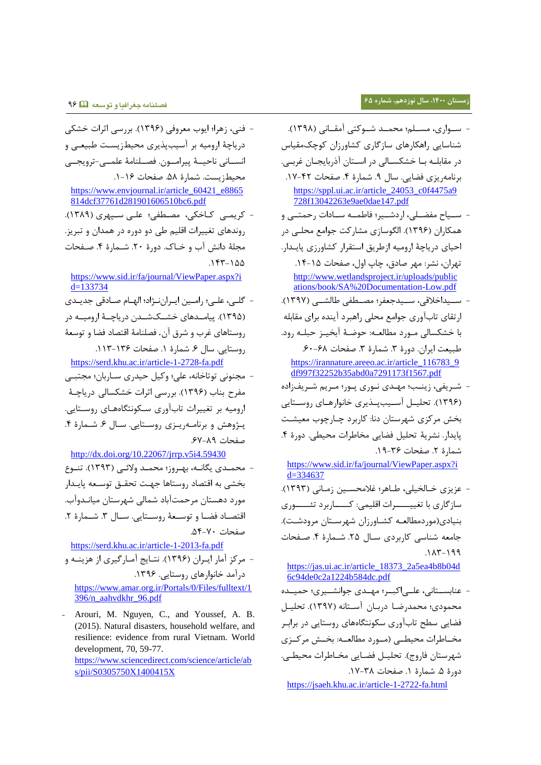- سـواری، مسـلم؛ محمـد شـوکتی آمقـانی (۱۳۹۸). شنلسلیی راهسلرهلی سلزگلری کشلورزان کوچکمقیلس د, مقابلـه بـا خشکسـالی در اسـتان آذربایجـان غربـی. برنامهریزی فضایی. سال ۹. شمارۀ ۴. صفحات ۴۲-۱۷. [https://sppl.ui.ac.ir/article\\_24053\\_c0f4475a9](https://sppl.ui.ac.ir/article_24053_c0f4475a9728f13042263e9ae0dae147.pdf) [728f13042263e9ae0dae147.pdf](https://sppl.ui.ac.ir/article_24053_c0f4475a9728f13042263e9ae0dae147.pdf)
- سسیاح مفضـلی، اردشـبر؛ فاطمـه سـادات رحمتـبی و همکاران (۱۳۹۶). الگوسازی مشارکت جوامع محلبی در احیلی لریلچۀ ارومیه ازطریق استقرار کشلورزی لیادار . تهران، نشر: مهر صللق، چلپ اول، صفحلت .84-85 [http://www.wetlandsproject.ir/uploads/public](http://www.wetlandsproject.ir/uploads/publications/book/SA%20Documentation-Low.pdf) [ations/book/SA%20Documentation-Low.pdf](http://www.wetlandsproject.ir/uploads/publications/book/SA%20Documentation-Low.pdf) - ســيداخلاقى، ســيدجعفر؛ مصــطفى طالشــى (١٣٩٧).
- ارتقلی تلبآوری جوامع محلی راهبرل آینده برای مقلبله با خشکسالی مـورد مطالعـه: حوضـهٔ آبخیـز حبلـه رود. طبیعت ایران. دورۀ ٣. شمارۀ ٣. صفحات ۶۰-۶۰. [https://irannature.areeo.ac.ir/article\\_116783\\_9](https://irannature.areeo.ac.ir/article_116783_9df997f32252b35abd0a7291173f1567.pdf)
- [df997f32252b35abd0a7291173f1567.pdf](https://irannature.areeo.ac.ir/article_116783_9df997f32252b35abd0a7291173f1567.pdf) شریفی، زینـب؛ مهـدی نـوری پـور؛ مـریم شـریفزاده (۱۳۹۶). تحلیــل آسـیبپــذیری خانوارهــای روســتایی بخش مرکزی شهرستان دنا: کاربرد چـارچوب معیشـت لیدار. نشریۀ تحلیل فضلیی مخلطرات محیطی. لورۀ .4 شمارۀ ٢. صفحات ٣۶-١٩.

[https://www.sid.ir/fa/journal/ViewPaper.aspx?i](https://www.sid.ir/fa/journal/ViewPaper.aspx?id=334637)  $d=334637$ 

- عریری تالشخیلی، طالهر ؛ غممحساین زمالنی )8373(. سازگاری با تغییــــــرات اقلیمی: کــــــاربرد تئـــــــوری بنیادی(موردمطالعـه کشـاورزان شهرسـتان مرودشـت). جامعه شناسی کاربردی سـال ۲۵. شـمارهٔ ۴. صـفحات  $.117-199$ 

[https://jas.ui.ac.ir/article\\_18373\\_2a5ea4b8b04d](https://jas.ui.ac.ir/article_18373_2a5ea4b8b04d6c94de0c2a1224b584dc.pdf) [6c94de0c2a1224b584dc.pdf](https://jas.ui.ac.ir/article_18373_2a5ea4b8b04d6c94de0c2a1224b584dc.pdf)

عنابستانی، علـی|کبـر؛ مهـدی جوانشـيری؛ حميـده محمودی؛ محمدرضا دربـان آسـتانه (۱۳۹۷). تحليـل فضلیی سطح تلبآوری سسونتگلههلی روستلیی لر برابار مخــاطرات محیطــی (مــورد مطالعــه: بخــش مرکــزی شهرستان فاروج). تحلیــل فضــایی مخــاطرات محیطــی. دورۀ ۵. شمارۀ ١. صفحات ٣٨-١٧.

<https://jsaeh.khu.ac.ir/article-1-2722-fa.html>

- فنی، زهرا؛ ایوب معروفی )8371(. بررسی ا رات تشسی دریاچۀ ارومیه بر آسیبپذیری محیطزیست طبیعی و انســانی ناحیــهٔ ییرامــون. فصــلنامۀ علمــی-ترویجــی محیطزیست. شملرۀ .57 صفحلت .8-81 [https://www.envjournal.ir/article\\_60421\\_e8865](https://www.envjournal.ir/article_60421_e8865814dcf37761d281901606510bc6.pdf) [814dcf37761d281901606510bc6.pdf](https://www.envjournal.ir/article_60421_e8865814dcf37761d281901606510bc6.pdf) - کریمے کاخکی، مصطفی؛ علی سیہری (۱۳۸۹). روندهلی تغییرات اقلیم طی لو لوره لر همدان و تبریر. مجلۀ دانش آب و خــاک. دورۀ ٢٠. شــمارۀ ۴. صــفحات  $.157 - 100$ [https://www.sid.ir/fa/journal/ViewPaper.aspx?i](https://www.sid.ir/fa/journal/ViewPaper.aspx?id=133734) [d=133734](https://www.sid.ir/fa/journal/ViewPaper.aspx?id=133734) - گلای، علای؛ راماین ایارانناهال؛ اشهالم صاللقی جدیادی (۱۳۹۵). ییامـدهای خشــکشــدن دریاچــۀ ارومیــه در روستلهلی غرب و شرق آن. فصلنلمۀ اقتصلل فضل و توسعۀ روستایی. سال ۶. شمارۀ ۱. صفحات ۱۳۶-۱۱۳. <https://serd.khu.ac.ir/article-1-2728-fa.pdf> - مجنونی توتلتلنه، علی؛ وکیل حیدری سالربلن ؛ مجتبای مفرح بناب (۱۳۹۶). بررسی اثرات خشکسالی دریاچهٔ ارومیه بر تغییرات تلبآوری ساسونتگله هالی روساتلیی . یـژوهش و برنامــهریـزی روسـتایی. ســال ۶. شــمارۀ ۴. صفحلت .17-77 <http://dx.doi.org/10.22067/jrrp.v5i4.59430> محمـدی یگانــه، بهـروز؛ محمـد ولائــی (۱۳۹۳). تنــوع بخشی به اقتصاد روستاها جهت تحقـق توسـعه پایـدار مورد دهستان مرحمتآباد شمالی شهرستان میانـدوآب. اقتصاد فضا و توسعۀ روستایی. سال ٣. شـمارۀ ٢. صفحلت .54-78 <https://serd.khu.ac.ir/article-1-2013-fa.pdf> - مرکز آمار ایـران (۱۳۹۶). نتـایج آمـارگیری از هزینــه و درآمد خانوارهای روستایی. ۱۳۹۶. [https://www.amar.org.ir/Portals/0/Files/fulltext/1](https://www.amar.org.ir/Portals/0/Files/fulltext/1396/n_aahvdkhr_96.pdf) [396/n\\_aahvdkhr\\_96.pdf](https://www.amar.org.ir/Portals/0/Files/fulltext/1396/n_aahvdkhr_96.pdf) - Arouri, M. Nguyen, C., and Youssef, A. B. (2015). Natural disasters, household welfare, and resilience: evidence from rural Vietnam. World development, 70, 59-77. [https://www.sciencedirect.com/science/article/ab](https://www.sciencedirect.com/science/article/abs/pii/S0305750X1400415X)

[s/pii/S0305750X1400415X](https://www.sciencedirect.com/science/article/abs/pii/S0305750X1400415X)